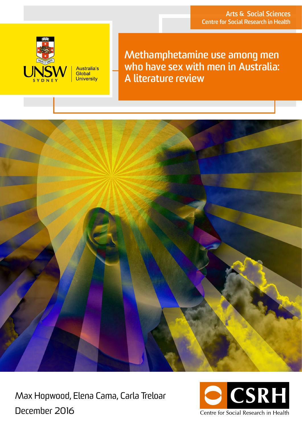

**Methamphetamine use among men who have sex with men in Australia: A literature review**



Max Hopwood, Elena Cama, Carla Treloar December 2016

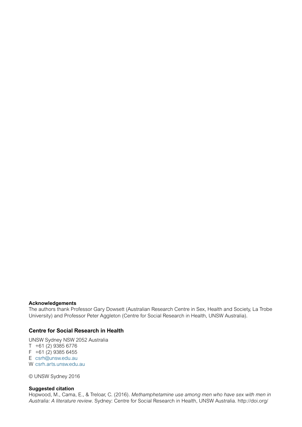#### **Acknowledgements**

The authors thank Professor Gary Dowsett (Australian Research Centre in Sex, Health and Society, La Trobe University) and Professor Peter Aggleton (Centre for Social Research in Health, UNSW Australia).

#### **Centre for Social Research in Health**

UNSW Sydney NSW 2052 Australia T +61 (2) 9385 6776  $F +61 (2) 9385 6455$ E [csrh@unsw.edu.au](mailto:csrh%40unsw.edu.au?subject=) W [csrh.arts.unsw.edu.au](http://csrh.arts.unsw.edu.au ) 

© UNSW Sydney 2016

#### **Suggested citation**

Hopwood, M., Cama, E., & Treloar, C. (2016). *Methamphetamine use among men who have sex with men in Australia: A literature review*. Sydney: Centre for Social Research in Health, UNSW Australia. http://doi.org/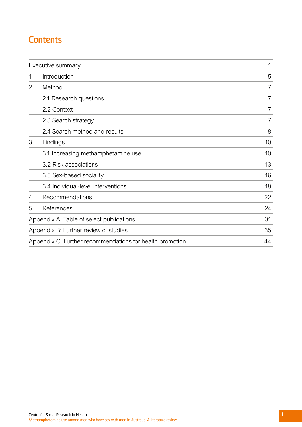# **Contents**

| Executive summary                        | 1                                                        |                |
|------------------------------------------|----------------------------------------------------------|----------------|
| 1                                        | Introduction                                             | 5              |
| 2                                        | Method                                                   | 7              |
|                                          | 2.1 Research questions                                   | 7              |
|                                          | 2.2 Context                                              | 7              |
|                                          | 2.3 Search strategy                                      | $\overline{7}$ |
|                                          | 2.4 Search method and results                            | 8              |
| 3                                        | Findings                                                 | 10             |
|                                          | 3.1 Increasing methamphetamine use                       | 10             |
|                                          | 3.2 Risk associations                                    | 13             |
|                                          | 3.3 Sex-based sociality                                  | 16             |
|                                          | 3.4 Individual-level interventions                       | 18             |
| 4                                        | Recommendations                                          | 22             |
| 5                                        | References                                               | 24             |
| Appendix A: Table of select publications | 31                                                       |                |
|                                          | Appendix B: Further review of studies                    | 35             |
|                                          | Appendix C: Further recommendations for health promotion | 44             |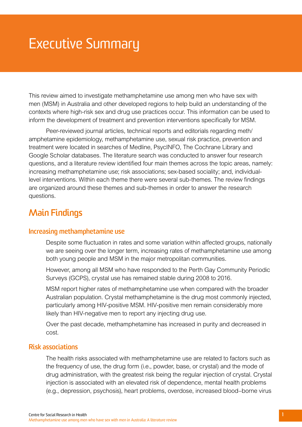# <span id="page-3-0"></span>Executive Summary

This review aimed to investigate methamphetamine use among men who have sex with men (MSM) in Australia and other developed regions to help build an understanding of the contexts where high-risk sex and drug use practices occur. This information can be used to inform the development of treatment and prevention interventions specifically for MSM.

Peer-reviewed journal articles, technical reports and editorials regarding meth/ amphetamine epidemiology, methamphetamine use, sexual risk practice, prevention and treatment were located in searches of Medline, PsycINFO, The Cochrane Library and Google Scholar databases. The literature search was conducted to answer four research questions, and a literature review identified four main themes across the topic areas, namely: increasing methamphetamine use; risk associations; sex-based sociality; and, individuallevel interventions. Within each theme there were several sub-themes. The review findings are organized around these themes and sub-themes in order to answer the research questions.

# **Main Findings**

### **Increasing methamphetamine use**

Despite some fluctuation in rates and some variation within affected groups, nationally we are seeing over the longer term, increasing rates of methamphetamine use among both young people and MSM in the major metropolitan communities.

However, among all MSM who have responded to the Perth Gay Community Periodic Surveys (GCPS), crystal use has remained stable during 2008 to 2016.

MSM report higher rates of methamphetamine use when compared with the broader Australian population. Crystal methamphetamine is the drug most commonly injected, particularly among HIV-positive MSM. HIV-positive men remain considerably more likely than HIV-negative men to report any injecting drug use.

Over the past decade, methamphetamine has increased in purity and decreased in cost.

## **Risk associations**

The health risks associated with methamphetamine use are related to factors such as the frequency of use, the drug form (i.e., powder, base, or crystal) and the mode of drug administration, with the greatest risk being the regular injection of crystal. Crystal injection is associated with an elevated risk of dependence, mental health problems (e.g., depression, psychosis), heart problems, overdose, increased blood–borne virus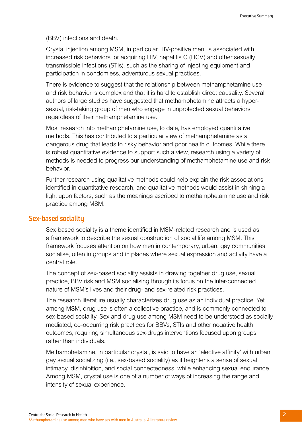(BBV) infections and death.

Crystal injection among MSM, in particular HIV-positive men, is associated with increased risk behaviors for acquiring HIV, hepatitis C (HCV) and other sexually transmissible infections (STIs), such as the sharing of injecting equipment and participation in condomless, adventurous sexual practices.

There is evidence to suggest that the relationship between methamphetamine use and risk behavior is complex and that it is hard to establish direct causality. Several authors of large studies have suggested that methamphetamine attracts a hypersexual, risk-taking group of men who engage in unprotected sexual behaviors regardless of their methamphetamine use.

Most research into methamphetamine use, to date, has employed quantitative methods. This has contributed to a particular view of methamphetamine as a dangerous drug that leads to risky behavior and poor health outcomes. While there is robust quantitative evidence to support such a view, research using a variety of methods is needed to progress our understanding of methamphetamine use and risk behavior.

Further research using qualitative methods could help explain the risk associations identified in quantitative research, and qualitative methods would assist in shining a light upon factors, such as the meanings ascribed to methamphetamine use and risk practice among MSM.

#### **Sex-based sociality**

Sex-based sociality is a theme identified in MSM-related research and is used as a framework to describe the sexual construction of social life among MSM. This framework focuses attention on how men in contemporary, urban, gay communities socialise, often in groups and in places where sexual expression and activity have a central role.

The concept of sex-based sociality assists in drawing together drug use, sexual practice, BBV risk and MSM socialising through its focus on the inter-connected nature of MSM's lives and their drug- and sex-related risk practices.

The research literature usually characterizes drug use as an individual practice. Yet among MSM, drug use is often a collective practice, and is commonly connected to sex-based sociality. Sex and drug use among MSM need to be understood as socially mediated, co-occurring risk practices for BBVs, STIs and other negative health outcomes, requiring simultaneous sex-drugs interventions focused upon groups rather than individuals.

Methamphetamine, in particular crystal, is said to have an 'elective affinity' with urban gay sexual socializing (i.e., sex-based sociality) as it heightens a sense of sexual intimacy, disinhibition, and social connectedness, while enhancing sexual endurance. Among MSM, crystal use is one of a number of ways of increasing the range and intensity of sexual experience.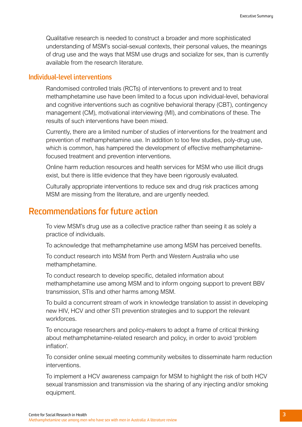Qualitative research is needed to construct a broader and more sophisticated understanding of MSM's social-sexual contexts, their personal values, the meanings of drug use and the ways that MSM use drugs and socialize for sex, than is currently available from the research literature.

## **Individual-level interventions**

Randomised controlled trials (RCTs) of interventions to prevent and to treat methamphetamine use have been limited to a focus upon individual-level, behavioral and cognitive interventions such as cognitive behavioral therapy (CBT), contingency management (CM), motivational interviewing (MI), and combinations of these. The results of such interventions have been mixed.

Currently, there are a limited number of studies of interventions for the treatment and prevention of methamphetamine use. In addition to too few studies, poly-drug use, which is common, has hampered the development of effective methamphetaminefocused treatment and prevention interventions.

Online harm reduction resources and health services for MSM who use illicit drugs exist, but there is little evidence that they have been rigorously evaluated.

Culturally appropriate interventions to reduce sex and drug risk practices among MSM are missing from the literature, and are urgently needed.

## **Recommendations for future action**

To view MSM's drug use as a collective practice rather than seeing it as solely a practice of individuals.

To acknowledge that methamphetamine use among MSM has perceived benefits.

To conduct research into MSM from Perth and Western Australia who use methamphetamine.

To conduct research to develop specific, detailed information about methamphetamine use among MSM and to inform ongoing support to prevent BBV transmission, STIs and other harms among MSM.

To build a concurrent stream of work in knowledge translation to assist in developing new HIV, HCV and other STI prevention strategies and to support the relevant workforces.

To encourage researchers and policy-makers to adopt a frame of critical thinking about methamphetamine-related research and policy, in order to avoid 'problem inflation'.

To consider online sexual meeting community websites to disseminate harm reduction interventions.

To implement a HCV awareness campaign for MSM to highlight the risk of both HCV sexual transmission and transmission via the sharing of any injecting and/or smoking equipment.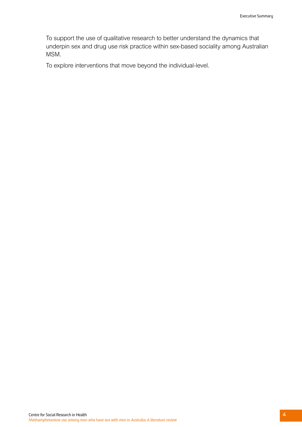To support the use of qualitative research to better understand the dynamics that underpin sex and drug use risk practice within sex-based sociality among Australian MSM.

To explore interventions that move beyond the individual-level.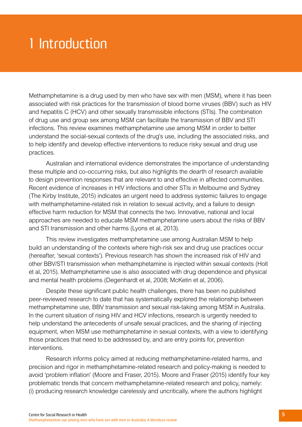# <span id="page-7-0"></span>1 Introduction

Methamphetamine is a drug used by men who have sex with men (MSM), where it has been associated with risk practices for the transmission of blood borne viruses (BBV) such as HIV and hepatitis C (HCV) and other sexually transmissible infections (STIs). The combination of drug use and group sex among MSM can facilitate the transmission of BBV and STI infections. This review examines methamphetamine use among MSM in order to better understand the social-sexual contexts of the drug's use, including the associated risks, and to help identify and develop effective interventions to reduce risky sexual and drug use practices.

Australian and international evidence demonstrates the importance of understanding these multiple and co-occurring risks, but also highlights the dearth of research available to design prevention responses that are relevant to and effective in affected communities. Recent evidence of increases in HIV infections and other STIs in Melbourne and Sydney (The Kirby Institute, 2015) indicates an urgent need to address systemic failures to engage with methamphetamine-related risk in relation to sexual activity, and a failure to design effective harm reduction for MSM that connects the two. Innovative, national and local approaches are needed to educate MSM methamphetamine users about the risks of BBV and STI transmission and other harms (Lyons et al, 2013).

This review investigates methamphetamine use among Australian MSM to help build an understanding of the contexts where high-risk sex and drug use practices occur (hereafter, 'sexual contexts'). Previous research has shown the increased risk of HIV and other BBV/STI transmission when methamphetamine is injected within sexual contexts (Holt et al, 2015). Methamphetamine use is also associated with drug dependence and physical and mental health problems (Degenhardt et al, 2008; McKetin et al, 2006).

Despite these significant public health challenges, there has been no published peer-reviewed research to date that has systematically explored the relationship between methamphetamine use, BBV transmission and sexual risk-taking among MSM in Australia. In the current situation of rising HIV and HCV infections, research is urgently needed to help understand the antecedents of unsafe sexual practices, and the sharing of injecting equipment, when MSM use methamphetamine in sexual contexts, with a view to identifying those practices that need to be addressed by, and are entry points for, prevention interventions.

Research informs policy aimed at reducing methamphetamine-related harms, and precision and rigor in methamphetamine-related research and policy-making is needed to avoid 'problem inflation' (Moore and Fraser, 2015). Moore and Fraser (2015) identify four key problematic trends that concern methamphetamine-related research and policy, namely: (i) producing research knowledge carelessly and uncritically, where the authors highlight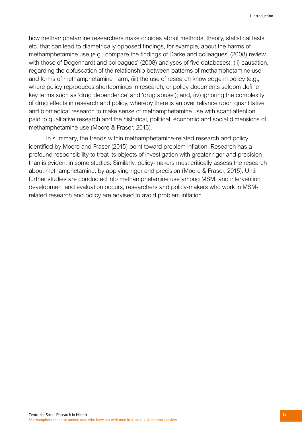how methamphetamine researchers make choices about methods, theory, statistical tests etc. that can lead to diametrically opposed findings, for example, about the harms of methamphetamine use (e.g., compare the findings of Darke and colleagues' (2008) review with those of Degenhardt and colleagues' (2008) analyses of five databases); (ii) causation, regarding the obfuscation of the relationship between patterns of methamphetamine use and forms of methamphetamine harm; (iii) the use of research knowledge in policy (e.g., where policy reproduces shortcomings in research, or policy documents seldom define key terms such as 'drug dependence' and 'drug abuse'); and, (iv) ignoring the complexity of drug effects in research and policy, whereby there is an over reliance upon quantitative and biomedical research to make sense of methamphetamine use with scant attention paid to qualitative research and the historical, political, economic and social dimensions of methamphetamine use (Moore & Fraser, 2015).

In summary, the trends within methamphetamine-related research and policy identified by Moore and Fraser (2015) point toward problem inflation. Research has a profound responsibility to treat its objects of investigation with greater rigor and precision than is evident in some studies. Similarly, policy-makers must critically assess the research about methamphetamine, by applying rigor and precision (Moore & Fraser, 2015). Until further studies are conducted into methamphetamine use among MSM, and intervention development and evaluation occurs, researchers and policy-makers who work in MSMrelated research and policy are advised to avoid problem inflation.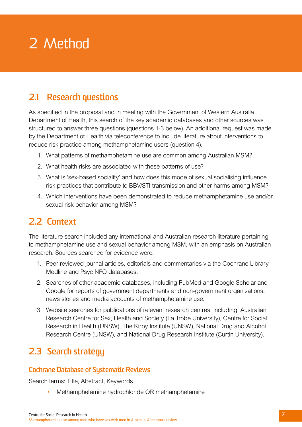# <span id="page-9-0"></span>2 Method

# **2.1 Research questions**

As specified in the proposal and in meeting with the Government of Western Australia Department of Health, this search of the key academic databases and other sources was structured to answer three questions (questions 1-3 below). An additional request was made by the Department of Health via teleconference to include literature about interventions to reduce risk practice among methamphetamine users (question 4).

- 1. What patterns of methamphetamine use are common among Australian MSM?
- 2. What health risks are associated with these patterns of use?
- 3. What is 'sex-based sociality' and how does this mode of sexual socialising influence risk practices that contribute to BBV/STI transmission and other harms among MSM?
- 4. Which interventions have been demonstrated to reduce methamphetamine use and/or sexual risk behavior among MSM?

# **2.2 Context**

The literature search included any international and Australian research literature pertaining to methamphetamine use and sexual behavior among MSM, with an emphasis on Australian research. Sources searched for evidence were:

- 1. Peer-reviewed journal articles, editorials and commentaries via the Cochrane Library, Medline and PsycINFO databases.
- 2. Searches of other academic databases, including PubMed and Google Scholar and Google for reports of government departments and non-government organisations, news stories and media accounts of methamphetamine use.
- 3. Website searches for publications of relevant research centres, including: Australian Research Centre for Sex, Health and Society (La Trobe University), Centre for Social Research in Health (UNSW), The Kirby Institute (UNSW), National Drug and Alcohol Research Centre (UNSW), and National Drug Research Institute (Curtin University).

# **2.3 Search strategy**

## **Cochrane Database of Systematic Reviews**

Search terms: Title, Abstract, Keywords

• Methamphetamine hydrochloride OR methamphetamine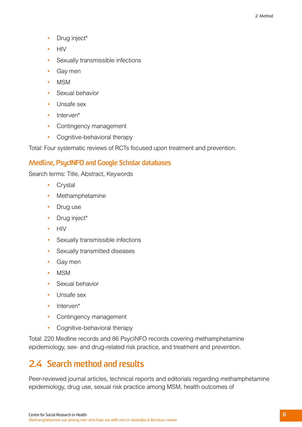- <span id="page-10-0"></span>• Drug inject\*
- HIV
- Sexually transmissible infections
- Gay men
- MSM
- Sexual behavior
- Unsafe sex
- Interven<sup>\*</sup>
- Contingency management
- Cognitive-behavioral therapy

Total: Four systematic reviews of RCTs focused upon treatment and prevention.

## **Medline, PsycINFO and Google Scholar databases**

Search terms: Title, Abstract, Keywords

- Crystal
- Methamphetamine
- Drug use
- Drug inject\*
- HIV
- Sexually transmissible infections
- Sexually transmitted diseases
- Gay men
- MSM
- Sexual behavior
- Unsafe sex
- Interven<sup>\*</sup>
- Contingency management
- Cognitive-behavioral therapy

Total: 220 Medline records and 86 PsycINFO records covering methamphetamine epidemiology, sex- and drug-related risk practice, and treatment and prevention.

# **2.4 Search method and results**

Peer-reviewed journal articles, technical reports and editorials regarding methamphetamine epidemiology, drug use, sexual risk practice among MSM, health outcomes of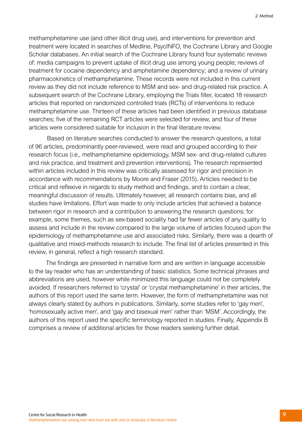methamphetamine use (and other illicit drug use), and interventions for prevention and treatment were located in searches of Medline, PsycINFO, the Cochrane Library and Google Scholar databases. An initial search of the Cochrane Library found four systematic reviews of: media campaigns to prevent uptake of illicit drug use among young people; reviews of treatment for cocaine dependency and amphetamine dependency; and a review of urinary pharmacokinetics of methamphetamine. These records were not included in this current review as they did not include reference to MSM and sex- and drug-related risk practice. A subsequent search of the Cochrane Library, employing the Trials filter, located 18 research articles that reported on randomized controlled trials (RCTs) of interventions to reduce methamphetamine use. Thirteen of these articles had been identified in previous database searches; five of the remaining RCT articles were selected for review, and four of these articles were considered suitable for inclusion in the final literature review.

Based on literature searches conducted to answer the research questions, a total of 96 articles, predominantly peer-reviewed, were read and grouped according to their research focus (i.e., methamphetamine epidemiology, MSM sex- and drug-related cultures and risk practice, and treatment and prevention interventions). The research represented within articles included in this review was critically assessed for rigor and precision in accordance with recommendations by Moore and Fraser (2015). Articles needed to be critical and reflexive in regards to study method and findings, and to contain a clear, meaningful discussion of results. Ultimately however, all research contains bias, and all studies have limitations. Effort was made to only include articles that achieved a balance between rigor in research and a contribution to answering the research questions; for example, some themes, such as sex-based sociality had far fewer articles of any quality to assess and include in the review compared to the large volume of articles focused upon the epidemiology of methamphetamine use and associated risks. Similarly, there was a dearth of qualitative and mixed-methods research to include. The final list of articles presented in this review, in general, reflect a high research standard.

The findings are presented in narrative form and are written in language accessible to the lay reader who has an understanding of basic statistics. Some technical phrases and abbreviations are used, however while minimized this language could not be completely avoided. If researchers referred to 'crystal' or 'crystal methamphetamine' in their articles, the authors of this report used the same term. However, the form of methamphetamine was not always clearly stated by authors in publications. Similarly, some studies refer to 'gay men', 'homosexually active men', and 'gay and bisexual men' rather than 'MSM'. Accordingly, the authors of this report used the specific terminology reported in studies. Finally, Appendix B comprises a review of additional articles for those readers seeking further detail.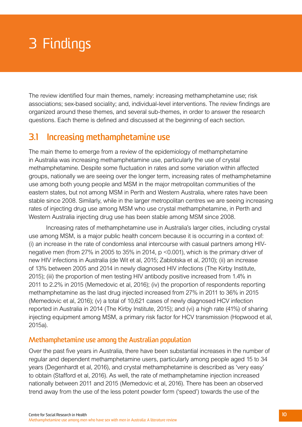# <span id="page-12-0"></span>3 Findings

The review identified four main themes, namely: increasing methamphetamine use; risk associations; sex-based sociality; and, individual-level interventions. The review findings are organized around these themes, and several sub-themes, in order to answer the research questions. Each theme is defined and discussed at the beginning of each section.

# **3.1 Increasing methamphetamine use**

The main theme to emerge from a review of the epidemiology of methamphetamine in Australia was increasing methamphetamine use, particularly the use of crystal methamphetamine. Despite some fluctuation in rates and some variation within affected groups, nationally we are seeing over the longer term, increasing rates of methamphetamine use among both young people and MSM in the major metropolitan communities of the eastern states, but not among MSM in Perth and Western Australia, where rates have been stable since 2008. Similarly, while in the larger metropolitan centres we are seeing increasing rates of injecting drug use among MSM who use crystal methamphetamine, in Perth and Western Australia injecting drug use has been stable among MSM since 2008.

Increasing rates of methamphetamine use in Australia's larger cities, including crystal use among MSM, is a major public health concern because it is occurring in a context of: (i) an increase in the rate of condomless anal intercourse with casual partners among HIVnegative men (from 27% in 2005 to 35% in 2014, p <0.001), which is the primary driver of new HIV infections in Australia (de Wit et al, 2015; Zablotska et al, 2010); (ii) an increase of 13% between 2005 and 2014 in newly diagnosed HIV infections (The Kirby Institute, 2015); (iii) the proportion of men testing HIV antibody positive increased from 1.4% in 2011 to 2.2% in 2015 (Memedovic et al, 2016); (iv) the proportion of respondents reporting methamphetamine as the last drug injected increased from 27% in 2011 to 36% in 2015 (Memedovic et al, 2016); (v) a total of 10,621 cases of newly diagnosed HCV infection reported in Australia in 2014 (The Kirby Institute, 2015); and (vi) a high rate (41%) of sharing injecting equipment among MSM, a primary risk factor for HCV transmission (Hopwood et al, 2015a).

## **Methamphetamine use among the Australian population**

Over the past five years in Australia, there have been substantial increases in the number of regular and dependent methamphetamine users, particularly among people aged 15 to 34 years (Degenhardt et al, 2016), and crystal methamphetamine is described as 'very easy' to obtain (Stafford et al, 2016). As well, the rate of methamphetamine injection increased nationally between 2011 and 2015 (Memedovic et al, 2016). There has been an observed trend away from the use of the less potent powder form ('speed') towards the use of the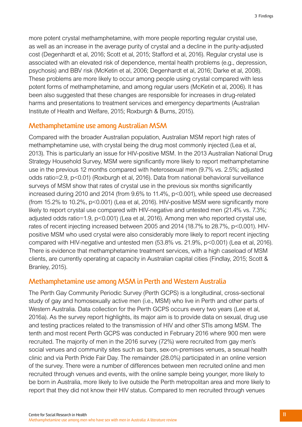more potent crystal methamphetamine, with more people reporting regular crystal use, as well as an increase in the average purity of crystal and a decline in the purity-adjusted cost (Degenhardt et al, 2016; Scott et al, 2015; Stafford et al, 2016). Regular crystal use is associated with an elevated risk of dependence, mental health problems (e.g., depression, psychosis) and BBV risk (McKetin et al, 2006; Degenhardt et al, 2016; Darke et al, 2008). These problems are more likely to occur among people using crystal compared with less potent forms of methamphetamine, and among regular users (McKetin et al, 2006). It has been also suggested that these changes are responsible for increases in drug-related harms and presentations to treatment services and emergency departments (Australian Institute of Health and Welfare, 2015; Roxburgh & Burns, 2015).

### **Methamphetamine use among Australian MSM**

Compared with the broader Australian population, Australian MSM report high rates of methamphetamine use, with crystal being the drug most commonly injected (Lea et al, 2013). This is particularly an issue for HIV-positive MSM. In the 2013 Australian National Drug Strategy Household Survey, MSM were significantly more likely to report methamphetamine use in the previous 12 months compared with heterosexual men (9.7% vs. 2.5%; adjusted odds ratio=2.9, p<0.01) (Roxburgh et al, 2016). Data from national behavioral surveillance surveys of MSM show that rates of crystal use in the previous six months significantly increased during 2010 and 2014 (from 9.6% to 11.4%, p<0.001), while speed use decreased (from 15.2% to 10.2%, p<0.001) (Lea et al, 2016). HIV-positive MSM were significantly more likely to report crystal use compared with HIV-negative and untested men (21.4% vs. 7.3%; adjusted odds ratio=1.9, p<0.001) (Lea et al, 2016). Among men who reported crystal use, rates of recent injecting increased between 2005 and 2014 (18.7% to 28.7%, p<0.001). HIVpositive MSM who used crystal were also considerably more likely to report recent injecting compared with HIV-negative and untested men (53.8% vs. 21.9%, p<0.001) (Lea et al, 2016). There is evidence that methamphetamine treatment services, with a high caseload of MSM clients, are currently operating at capacity in Australian capital cities (Findlay, 2015; Scott & Branley, 2015).

## **Methamphetamine use among MSM in Perth and Western Australia**

The Perth Gay Community Periodic Survey (Perth GCPS) is a longitudinal, cross-sectional study of gay and homosexually active men (i.e., MSM) who live in Perth and other parts of Western Australia. Data collection for the Perth GCPS occurs every two years (Lee et al, 2016a). As the survey report highlights, its major aim is to provide data on sexual, drug use and testing practices related to the transmission of HIV and other STIs among MSM. The tenth and most recent Perth GCPS was conducted in February 2016 where 900 men were recruited. The majority of men in the 2016 survey (72%) were recruited from gay men's social venues and community sites such as bars, sex-on-premises venues, a sexual health clinic and via Perth Pride Fair Day. The remainder (28.0%) participated in an online version of the survey. There were a number of differences between men recruited online and men recruited through venues and events, with the online sample being younger, more likely to be born in Australia, more likely to live outside the Perth metropolitan area and more likely to report that they did not know their HIV status. Compared to men recruited through venues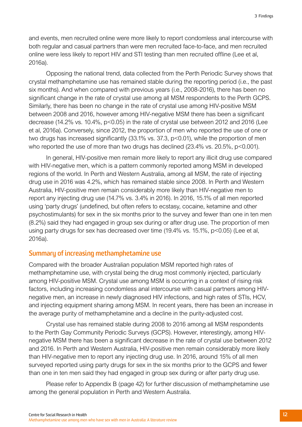and events, men recruited online were more likely to report condomless anal intercourse with both regular and casual partners than were men recruited face-to-face, and men recruited online were less likely to report HIV and STI testing than men recruited offline (Lee et al, 2016a).

Opposing the national trend, data collected from the Perth Periodic Survey shows that crystal methamphetamine use has remained stable during the reporting period (i.e., the past six months). And when compared with previous years (i.e., 2008-2016), there has been no significant change in the rate of crystal use among all MSM respondents to the Perth GCPS. Similarly, there has been no change in the rate of crystal use among HIV-positive MSM between 2008 and 2016, however among HIV-negative MSM there has been a significant decrease (14.2% vs. 10.4%, p<0.05) in the rate of crystal use between 2012 and 2016 (Lee et al, 2016a). Conversely, since 2012, the proportion of men who reported the use of one or two drugs has increased significantly (33.1% vs. 37.3, p<0.01), while the proportion of men who reported the use of more than two drugs has declined (23.4% vs. 20.5%, p<0.001).

In general, HIV-positive men remain more likely to report any illicit drug use compared with HIV-negative men, which is a pattern commonly reported among MSM in developed regions of the world. In Perth and Western Australia, among all MSM, the rate of injecting drug use in 2016 was 4.2%, which has remained stable since 2008. In Perth and Western Australia, HIV-positive men remain considerably more likely than HIV-negative men to report any injecting drug use (14.7% vs. 3.4% in 2016). In 2016, 15.1% of all men reported using 'party drugs' (undefined, but often refers to ecstasy, cocaine, ketamine and other psychostimulants) for sex in the six months prior to the survey and fewer than one in ten men (8.2%) said they had engaged in group sex during or after drug use. The proportion of men using party drugs for sex has decreased over time (19.4% vs. 15.1%, p<0.05) (Lee et al, 2016a).

### **Summary of increasing methamphetamine use**

Compared with the broader Australian population MSM reported high rates of methamphetamine use, with crystal being the drug most commonly injected, particularly among HIV-positive MSM. Crystal use among MSM is occurring in a context of rising risk factors, including increasing condomless anal intercourse with casual partners among HIVnegative men, an increase in newly diagnosed HIV infections, and high rates of STIs, HCV, and injecting equipment sharing among MSM. In recent years, there has been an increase in the average purity of methamphetamine and a decline in the purity-adjusted cost.

Crystal use has remained stable during 2008 to 2016 among all MSM respondents to the Perth Gay Community Periodic Surveys (GCPS). However, interestingly, among HIVnegative MSM there has been a significant decrease in the rate of crystal use between 2012 and 2016. In Perth and Western Australia, HIV-positive men remain considerably more likely than HIV-negative men to report any injecting drug use. In 2016, around 15% of all men surveyed reported using party drugs for sex in the six months prior to the GCPS and fewer than one in ten men said they had engaged in group sex during or after party drug use.

Please refer to Appendix B (page 42) for further discussion of methamphetamine use among the general population in Perth and Western Australia.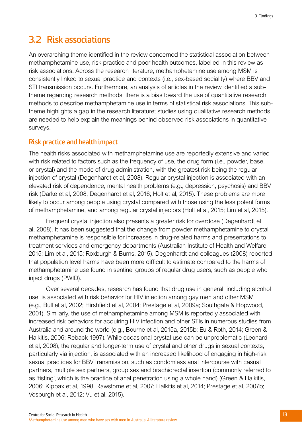## <span id="page-15-0"></span>**3.2 Risk associations**

An overarching theme identified in the review concerned the statistical association between methamphetamine use, risk practice and poor health outcomes, labelled in this review as risk associations. Across the research literature, methamphetamine use among MSM is consistently linked to sexual practice and contexts (i.e., sex-based sociality) where BBV and STI transmission occurs. Furthermore, an analysis of articles in the review identified a subtheme regarding research methods; there is a bias toward the use of quantitative research methods to describe methamphetamine use in terms of statistical risk associations. This subtheme highlights a gap in the research literature; studies using qualitative research methods are needed to help explain the meanings behind observed risk associations in quantitative surveys.

### **Risk practice and health impact**

The health risks associated with methamphetamine use are reportedly extensive and varied with risk related to factors such as the frequency of use, the drug form (i.e., powder, base, or crystal) and the mode of drug administration, with the greatest risk being the regular injection of crystal (Degenhardt et al, 2008). Regular crystal injection is associated with an elevated risk of dependence, mental health problems (e.g., depression, psychosis) and BBV risk (Darke et al, 2008; Degenhardt et al, 2016; Holt et al, 2015). These problems are more likely to occur among people using crystal compared with those using the less potent forms of methamphetamine, and among regular crystal injectors (Holt et al, 2015; Lim et al, 2015).

Frequent crystal injection also presents a greater risk for overdose (Degenhardt et al, 2008). It has been suggested that the change from powder methamphetamine to crystal methamphetamine is responsible for increases in drug-related harms and presentations to treatment services and emergency departments (Australian Institute of Health and Welfare, 2015; Lim et al, 2015; Roxburgh & Burns, 2015). Degenhardt and colleagues (2008) reported that population level harms have been more difficult to estimate compared to the harms of methamphetamine use found in sentinel groups of regular drug users, such as people who inject drugs (PWID).

Over several decades, research has found that drug use in general, including alcohol use, is associated with risk behavior for HIV infection among gay men and other MSM (e.g., Bull et al, 2002; Hirshfield et al, 2004; Prestage et al, 2009a; Southgate & Hopwood, 2001). Similarly, the use of methamphetamine among MSM is reportedly associated with increased risk behaviors for acquiring HIV infection and other STIs in numerous studies from Australia and around the world (e.g., Bourne et al, 2015a, 2015b; Eu & Roth, 2014; Green & Halkitis, 2006; Reback 1997). While occasional crystal use can be unproblematic (Leonard et al, 2008), the regular and longer-term use of crystal and other drugs in sexual contexts, particularly via injection, is associated with an increased likelihood of engaging in high-risk sexual practices for BBV transmission, such as condomless anal intercourse with casual partners, multiple sex partners, group sex and brachiorectal insertion (commonly referred to as 'fisting', which is the practice of anal penetration using a whole hand) (Green & Halkitis, 2006; Kippax et al, 1998; Rawstorne et al, 2007; Halkitis et al, 2014; Prestage et al, 2007b; Vosburgh et al, 2012; Vu et al, 2015).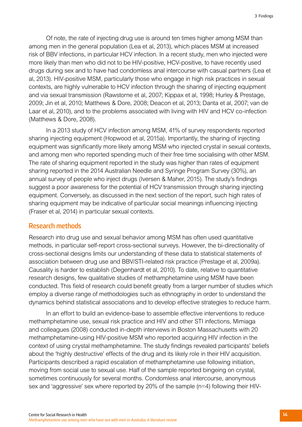Of note, the rate of injecting drug use is around ten times higher among MSM than among men in the general population (Lea et al, 2013), which places MSM at increased risk of BBV infections, in particular HCV infection. In a recent study, men who injected were more likely than men who did not to be HIV-positive, HCV-positive, to have recently used drugs during sex and to have had condomless anal intercourse with casual partners (Lea et al, 2013). HIV-positive MSM, particularly those who engage in high risk practices in sexual contexts, are highly vulnerable to HCV infection through the sharing of injecting equipment and via sexual transmission (Rawstorne et al, 2007; Kippax et al, 1998; Hurley & Prestage, 2009; Jin et al, 2010; Matthews & Dore, 2008; Deacon et al, 2013; Danta et al, 2007; van de Laar et al, 2010), and to the problems associated with living with HIV and HCV co-infection (Matthews & Dore, 2008).

In a 2013 study of HCV infection among MSM, 41% of survey respondents reported sharing injecting equipment (Hopwood et al, 2015a). Importantly, the sharing of injecting equipment was significantly more likely among MSM who injected crystal in sexual contexts, and among men who reported spending much of their free time socialising with other MSM. The rate of sharing equipment reported in the study was higher than rates of equipment sharing reported in the 2014 Australian Needle and Syringe Program Survey (30%), an annual survey of people who inject drugs (Iversen & Maher, 2015). The study's findings suggest a poor awareness for the potential of HCV transmission through sharing injecting equipment. Conversely, as discussed in the next section of the report, such high rates of sharing equipment may be indicative of particular social meanings influencing injecting (Fraser et al, 2014) in particular sexual contexts.

#### **Research methods**

Research into drug use and sexual behavior among MSM has often used quantitative methods, in particular self-report cross-sectional surveys. However, the bi-directionality of cross-sectional designs limits our understanding of these data to statistical statements of association between drug use and BBV/STI-related risk practice (Prestage et al, 2009a). Causality is harder to establish (Degenhardt et al, 2010). To date, relative to quantitative research designs, few qualitative studies of methamphetamine using MSM have been conducted. This field of research could benefit greatly from a larger number of studies which employ a diverse range of methodologies such as ethnography in order to understand the dynamics behind statistical associations and to develop effective strategies to reduce harm.

In an effort to build an evidence-base to assemble effective interventions to reduce methamphetamine use, sexual risk practice and HIV and other STI infections, Mimiaga and colleagues (2008) conducted in-depth interviews in Boston Massachusetts with 20 methamphetamine-using HIV-positive MSM who reported acquiring HIV infection in the context of using crystal methamphetamine. The study findings revealed participants' beliefs about the 'highly destructive' effects of the drug and its likely role in their HIV acquisition. Participants described a rapid escalation of methamphetamine use following initiation, moving from social use to sexual use. Half of the sample reported bingeing on crystal, sometimes continuously for several months. Condomless anal intercourse, anonymous sex and 'aggressive' sex where reported by 20% of the sample (n=4) following their HIV-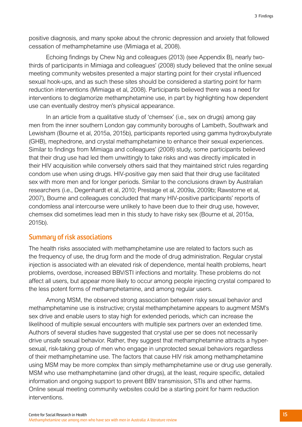positive diagnosis, and many spoke about the chronic depression and anxiety that followed cessation of methamphetamine use (Mimiaga et al, 2008).

Echoing findings by Chew Ng and colleagues (2013) (see Appendix B), nearly twothirds of participants in Mimiaga and colleagues' (2008) study believed that the online sexual meeting community websites presented a major starting point for their crystal influenced sexual hook-ups, and as such these sites should be considered a starting point for harm reduction interventions (Mimiaga et al, 2008). Participants believed there was a need for interventions to deglamorize methamphetamine use, in part by highlighting how dependent use can eventually destroy men's physical appearance.

In an article from a qualitative study of 'chemsex' (i.e., sex on drugs) among gay men from the inner southern London gay community boroughs of Lambeth, Southwark and Lewisham (Bourne et al, 2015a, 2015b), participants reported using gamma hydroxybutyrate (GHB), mephedrone, and crystal methamphetamine to enhance their sexual experiences. Similar to findings from Mimiaga and colleagues' (2008) study, some participants believed that their drug use had led them unwittingly to take risks and was directly implicated in their HIV acquisition while conversely others said that they maintained strict rules regarding condom use when using drugs. HIV-positive gay men said that their drug use facilitated sex with more men and for longer periods. Similar to the conclusions drawn by Australian researchers (i.e., Degenhardt et al, 2010; Prestage et al, 2009a, 2009b; Rawstorne et al, 2007), Bourne and colleagues concluded that many HIV-positive participants' reports of condomless anal intercourse were unlikely to have been due to their drug use, however, chemsex did sometimes lead men in this study to have risky sex (Bourne et al, 2015a, 2015b).

## **Summary of risk associations**

The health risks associated with methamphetamine use are related to factors such as the frequency of use, the drug form and the mode of drug administration. Regular crystal injection is associated with an elevated risk of dependence, mental health problems, heart problems, overdose, increased BBV/STI infections and mortality. These problems do not affect all users, but appear more likely to occur among people injecting crystal compared to the less potent forms of methamphetamine, and among regular users.

Among MSM, the observed strong association between risky sexual behavior and methamphetamine use is instructive; crystal methamphetamine appears to augment MSM's sex drive and enable users to stay high for extended periods, which can increase the likelihood of multiple sexual encounters with multiple sex partners over an extended time. Authors of several studies have suggested that crystal use per se does not necessarily drive unsafe sexual behavior. Rather, they suggest that methamphetamine attracts a hypersexual, risk-taking group of men who engage in unprotected sexual behaviors regardless of their methamphetamine use. The factors that cause HIV risk among methamphetamine using MSM may be more complex than simply methamphetamine use or drug use generally. MSM who use methamphetamine (and other drugs), at the least, require specific, detailed information and ongoing support to prevent BBV transmission, STIs and other harms. Online sexual meeting community websites could be a starting point for harm reduction interventions.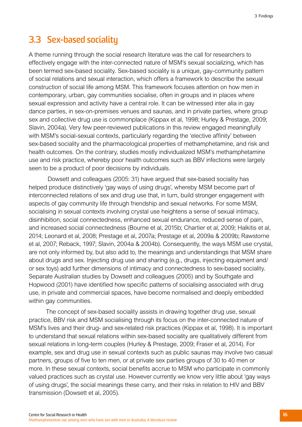## <span id="page-18-0"></span>**3.3 Sex-based sociality**

A theme running through the social research literature was the call for researchers to effectively engage with the inter-connected nature of MSM's sexual socializing, which has been termed sex-based sociality. Sex-based sociality is a unique, gay-community pattern of social relations and sexual interaction, which offers a framework to describe the sexual construction of social life among MSM. This framework focuses attention on how men in contemporary, urban, gay communities socialise, often in groups and in places where sexual expression and activity have a central role. It can be witnessed inter alia in gay dance parties, in sex-on-premises venues and saunas, and in private parties, where group sex and collective drug use is commonplace (Kippax et al, 1998; Hurley & Prestage, 2009; Slavin, 2004a). Very few peer-reviewed publications in this review engaged meaningfully with MSM's social-sexual contexts, particularly regarding the 'elective affinity' between sex-based sociality and the pharmacological properties of methamphetamine, and risk and health outcomes. On the contrary, studies mostly individualized MSM's methamphetamine use and risk practice, whereby poor health outcomes such as BBV infections were largely seen to be a product of poor decisions by individuals.

 Dowsett and colleagues (2005: 31) have argued that sex-based sociality has helped produce distinctively 'gay ways of using drugs', whereby MSM become part of interconnected relations of sex and drug use that, in turn, build stronger engagement with aspects of gay community life through friendship and sexual networks. For some MSM, socialising in sexual contexts involving crystal use heightens a sense of sexual intimacy, disinhibition, social connectedness, enhanced sexual endurance, reduced sense of pain, and increased social connectedness (Bourne et al, 2015b; Chartier et al, 2009; Halkitis et al, 2014; Leonard et al, 2008; Prestage et al, 2007a; Prestage et al, 2009a & 2009b; Rawstorne et al, 2007; Reback, 1997; Slavin, 2004a & 2004b). Consequently, the ways MSM use crystal, are not only informed by, but also add to, the meanings and understandings that MSM share about drugs and sex. Injecting drug use and sharing (e.g., drugs, injecting equipment and/ or sex toys) add further dimensions of intimacy and connectedness to sex-based sociality. Separate Australian studies by Dowsett and colleagues (2005) and by Southgate and Hopwood (2001) have identified how specific patterns of socialising associated with drug use, in private and commercial spaces, have become normalised and deeply embedded within gay communities.

The concept of sex-based sociality assists in drawing together drug use, sexual practice, BBV risk and MSM socialising through its focus on the inter-connected nature of MSM's lives and their drug- and sex-related risk practices (Kippax et al, 1998). It is important to understand that sexual relations within sex-based sociality are qualitatively different from sexual relations in long-term couples (Hurley & Prestage, 2009; Fraser et al, 2014). For example, sex and drug use in sexual contexts such as public saunas may involve two casual partners, groups of five to ten men, or at private sex parties groups of 30 to 40 men or more. In these sexual contexts, social benefits accrue to MSM who participate in commonly valued practices such as crystal use. However currently we know very little about 'gay ways of using drugs', the social meanings these carry, and their risks in relation to HIV and BBV transmission (Dowsett et al, 2005).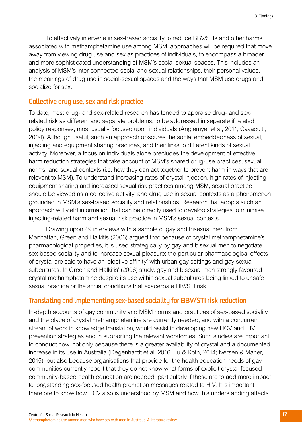To effectively intervene in sex-based sociality to reduce BBV/STIs and other harms associated with methamphetamine use among MSM, approaches will be required that move away from viewing drug use and sex as practices of individuals, to encompass a broader and more sophisticated understanding of MSM's social-sexual spaces. This includes an analysis of MSM's inter-connected social and sexual relationships, their personal values, the meanings of drug use in social-sexual spaces and the ways that MSM use drugs and socialize for sex.

### **Collective drug use, sex and risk practice**

To date, most drug- and sex-related research has tended to appraise drug- and sexrelated risk as different and separate problems, to be addressed in separate if related policy responses, most usually focused upon individuals (Anglemyer et al, 2011; Cavacuiti, 2004). Although useful, such an approach obscures the social embeddedness of sexual, injecting and equipment sharing practices, and their links to different kinds of sexual activity. Moreover, a focus on individuals alone precludes the development of effective harm reduction strategies that take account of MSM's shared drug-use practices, sexual norms, and sexual contexts (i.e. how they can act together to prevent harm in ways that are relevant to MSM). To understand increasing rates of crystal injection, high rates of injecting equipment sharing and increased sexual risk practices among MSM, sexual practice should be viewed as a collective activity, and drug use in sexual contexts as a phenomenon grounded in MSM's sex-based sociality and relationships. Research that adopts such an approach will yield information that can be directly used to develop strategies to minimise injecting-related harm and sexual risk practice in MSM's sexual contexts.

Drawing upon 49 interviews with a sample of gay and bisexual men from Manhattan, Green and Halkitis (2006) argued that because of crystal methamphetamine's pharmacological properties, it is used strategically by gay and bisexual men to negotiate sex-based sociality and to increase sexual pleasure; the particular pharmacological effects of crystal are said to have an 'elective affinity' with urban gay settings and gay sexual subcultures. In Green and Halkitis' (2006) study, gay and bisexual men strongly favoured crystal methamphetamine despite its use within sexual subcultures being linked to unsafe sexual practice or the social conditions that exacerbate HIV/STI risk.

## **Translating and implementing sex-based sociality for BBV/STI risk reduction**

In-depth accounts of gay community and MSM norms and practices of sex-based sociality and the place of crystal methamphetamine are currently needed, and with a concurrent stream of work in knowledge translation, would assist in developing new HCV and HIV prevention strategies and in supporting the relevant workforces. Such studies are important to conduct now, not only because there is a greater availability of crystal and a documented increase in its use in Australia (Degenhardt et al, 2016; Eu & Roth, 2014; Iversen & Maher, 2015), but also because organisations that provide for the health education needs of gay communities currently report that they do not know what forms of explicit crystal-focused community-based health education are needed, particularly if these are to add more impact to longstanding sex-focused health promotion messages related to HIV. It is important therefore to know how HCV also is understood by MSM and how this understanding affects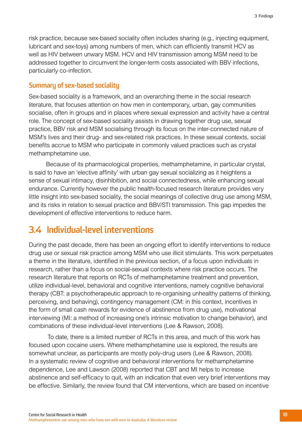<span id="page-20-0"></span>risk practice, because sex-based sociality often includes sharing (e.g., injecting equipment, lubricant and sex-toys) among numbers of men, which can efficiently transmit HCV as well as HIV between unwary MSM. HCV and HIV transmission among MSM need to be addressed together to circumvent the longer-term costs associated with BBV infections, particularly co-infection.

### **Summary of sex-based sociality**

Sex-based sociality is a framework, and an overarching theme in the social research literature, that focuses attention on how men in contemporary, urban, gay communities socialise, often in groups and in places where sexual expression and activity have a central role. The concept of sex-based sociality assists in drawing together drug use, sexual practice, BBV risk and MSM socialising through its focus on the inter-connected nature of MSM's lives and their drug- and sex-related risk practices. In these sexual contexts, social benefits accrue to MSM who participate in commonly valued practices such as crystal methamphetamine use.

Because of its pharmacological properties, methamphetamine, in particular crystal, is said to have an 'elective affinity' with urban gay sexual socializing as it heightens a sense of sexual intimacy, disinhibition, and social connectedness, while enhancing sexual endurance. Currently however the public health-focused research literature provides very little insight into sex-based sociality, the social meanings of collective drug use among MSM, and its risks in relation to sexual practice and BBV/STI transmission. This gap impedes the development of effective interventions to reduce harm.

## **3.4 Individual-level interventions**

During the past decade, there has been an ongoing effort to identify interventions to reduce drug use or sexual risk practice among MSM who use illicit stimulants. This work perpetuates a theme in the literature, identified in the previous section, of a focus upon individuals in research, rather than a focus on social-sexual contexts where risk practice occurs. The research literature that reports on RCTs of methamphetamine treatment and prevention, utilize individual-level, behavioral and cognitive interventions, namely cognitive behavioral therapy (CBT: a psychotherapeutic approach to re-organising unhealthy patterns of thinking, perceiving, and behaving), contingency management (CM: in this context, incentives in the form of small cash rewards for evidence of abstinence from drug use), motivational interviewing (MI: a method of increasing one's intrinsic motivation to change behavior), and combinations of these individual-level interventions (Lee & Rawson, 2008).

 To date, there is a limited number of RCTs in this area, and much of this work has focused upon cocaine users. Where methamphetamine use is explored, the results are somewhat unclear, as participants are mostly poly-drug users (Lee & Rawson, 2008). In a systematic review of cognitive and behavioral interventions for methamphetamine dependence, Lee and Lawson (2008) reported that CBT and MI helps to increase abstinence and self-efficacy to quit, with an indication that even very brief interventions may be effective. Similarly, the review found that CM interventions, which are based on incentive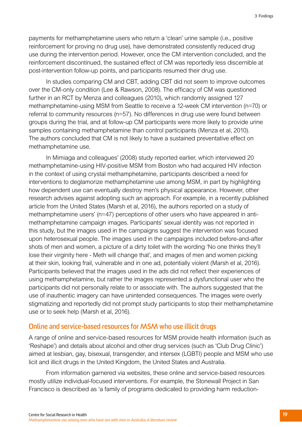payments for methamphetamine users who return a 'clean' urine sample (i.e., positive reinforcement for proving no drug use), have demonstrated consistently reduced drug use during the intervention period. However, once the CM intervention concluded, and the reinforcement discontinued, the sustained effect of CM was reportedly less discernible at post-intervention follow-up points, and participants resumed their drug use.

In studies comparing CM and CBT, adding CBT did not seem to improve outcomes over the CM-only condition (Lee & Rawson, 2008). The efficacy of CM was questioned further in an RCT by Menza and colleagues (2010), which randomly assigned 127 methamphetamine-using MSM from Seattle to receive a 12-week CM intervention (n=70) or referral to community resources (n=57). No differences in drug use were found between groups during the trial, and at follow-up CM participants were more likely to provide urine samples containing methamphetamine than control participants (Menza et al, 2010). The authors concluded that CM is not likely to have a sustained preventative effect on methamphetamine use.

In Mimiaga and colleagues' (2008) study reported earlier, which interviewed 20 methamphetamine-using HIV-positive MSM from Boston who had acquired HIV infection in the context of using crystal methamphetamine, participants described a need for interventions to deglamorize methamphetamine use among MSM, in part by highlighting how dependent use can eventually destroy men's physical appearance. However, other research advises against adopting such an approach. For example, in a recently published article from the United States (Marsh et al, 2016), the authors reported on a study of methamphetamine users' (n=47) perceptions of other users who have appeared in antimethamphetamine campaign images. Participants' sexual identity was not reported in this study, but the images used in the campaigns suggest the intervention was focused upon heterosexual people. The images used in the campaigns included before-and-after shots of men and women, a picture of a dirty toilet with the wording 'No one thinks they'll lose their virginity here - Meth will change that', and images of men and women picking at their skin, looking frail, vulnerable and in one ad, potentially violent (Marsh et al, 2016). Participants believed that the images used in the ads did not reflect their experiences of using methamphetamine, but rather the images represented a dysfunctional user who the participants did not personally relate to or associate with. The authors suggested that the use of inauthentic imagery can have unintended consequences. The images were overly stigmatizing and reportedly did not prompt study participants to stop their methamphetamine use or to seek help (Marsh et al, 2016).

### **Online and service-based resources for MSM who use illicit drugs**

A range of online and service-based resources for MSM provide health information (such as 'Reshape') and details about alcohol and other drug services (such as 'Club Drug Clinic') aimed at lesbian, gay, bisexual, transgender, and intersex (LGBTI) people and MSM who use licit and illicit drugs in the United Kingdom, the United States and Australia.

From information garnered via websites, these online and service-based resources mostly utilize individual-focused interventions. For example, the Stonewall Project in San Francisco is described as 'a family of programs dedicated to providing harm reduction-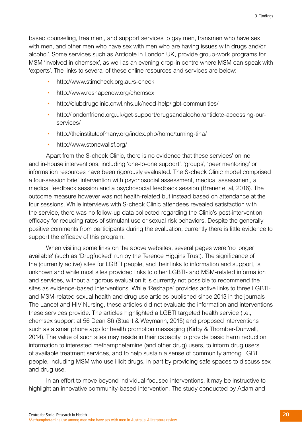based counseling, treatment, and support services to gay men, transmen who have sex with men, and other men who have sex with men who are having issues with drugs and/or alcohol'. Some services such as Antidote in London UK, provide group-work programs for MSM 'involved in chemsex', as well as an evening drop-in centre where MSM can speak with 'experts'. The links to several of these online resources and services are below:

- http://www.stimcheck.org.au/s-check
- http://www.reshapenow.org/chemsex
- http://clubdrugclinic.cnwl.nhs.uk/need-help/lgbt-communities/
- http://londonfriend.org.uk/get-support/drugsandalcohol/antidote-accessing-ourservices/
- http://theinstituteofmany.org/index.php/home/turning-tina/
- http://www.stonewallsf.org/

Apart from the S-check Clinic, there is no evidence that these services' online and in-house interventions, including 'one-to-one support', 'groups', 'peer mentoring' or information resources have been rigorously evaluated. The S-check Clinic model comprised a four-session brief intervention with psychosocial assessment, medical assessment, a medical feedback session and a psychosocial feedback session (Brener et al, 2016). The outcome measure however was not health-related but instead based on attendance at the four sessions. While interviews with S-check Clinic attendees revealed satisfaction with the service, there was no follow-up data collected regarding the Clinic's post-intervention efficacy for reducing rates of stimulant use or sexual risk behaviors. Despite the generally positive comments from participants during the evaluation, currently there is little evidence to support the efficacy of this program.

When visiting some links on the above websites, several pages were 'no longer available' (such as 'Drugfucked' run by the Terence Higgins Trust). The significance of the (currently active) sites for LGBTI people, and their links to information and support, is unknown and while most sites provided links to other LGBTI- and MSM-related information and services, without a rigorous evaluation it is currently not possible to recommend the sites as evidence-based interventions. While 'Reshape' provides active links to three LGBTIand MSM-related sexual health and drug use articles published since 2013 in the journals The Lancet and HIV Nursing, these articles did not evaluate the information and interventions these services provide. The articles highlighted a LGBTI targeted health service (i.e., chemsex support at 56 Dean St) (Stuart & Weymann, 2015) and proposed interventions such as a smartphone app for health promotion messaging (Kirby & Thornber-Dunwell, 2014). The value of such sites may reside in their capacity to provide basic harm reduction information to interested methamphetamine (and other drug) users, to inform drug users of available treatment services, and to help sustain a sense of community among LGBTI people, including MSM who use illicit drugs, in part by providing safe spaces to discuss sex and drug use.

In an effort to move beyond individual-focused interventions, it may be instructive to highlight an innovative community-based intervention. The study conducted by Adam and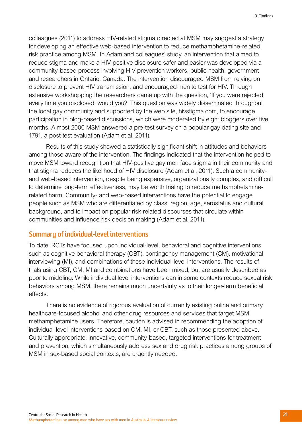colleagues (2011) to address HIV-related stigma directed at MSM may suggest a strategy for developing an effective web-based intervention to reduce methamphetamine-related risk practice among MSM. In Adam and colleagues' study, an intervention that aimed to reduce stigma and make a HIV-positive disclosure safer and easier was developed via a community-based process involving HIV prevention workers, public health, government and researchers in Ontario, Canada. The intervention discouraged MSM from relying on disclosure to prevent HIV transmission, and encouraged men to test for HIV. Through extensive workshopping the researchers came up with the question, 'If you were rejected every time you disclosed, would you?' This question was widely disseminated throughout the local gay community and supported by the web site, hivstigma.com, to encourage participation in blog-based discussions, which were moderated by eight bloggers over five months. Almost 2000 MSM answered a pre-test survey on a popular gay dating site and 1791, a post-test evaluation (Adam et al, 2011).

Results of this study showed a statistically significant shift in attitudes and behaviors among those aware of the intervention. The findings indicated that the intervention helped to move MSM toward recognition that HIV-positive gay men face stigma in their community and that stigma reduces the likelihood of HIV disclosure (Adam et al, 2011). Such a communityand web-based intervention, despite being expensive, organizationally complex, and difficult to determine long-term effectiveness, may be worth trialing to reduce methamphetaminerelated harm. Community- and web-based interventions have the potential to engage people such as MSM who are differentiated by class, region, age, serostatus and cultural background, and to impact on popular risk-related discourses that circulate within communities and influence risk decision making (Adam et al, 2011).

#### **Summary of individual-level interventions**

To date, RCTs have focused upon individual-level, behavioral and cognitive interventions such as cognitive behavioral therapy (CBT), contingency management (CM), motivational interviewing (MI), and combinations of these individual-level interventions. The results of trials using CBT, CM, MI and combinations have been mixed, but are usually described as poor to middling. While individual level interventions can in some contexts reduce sexual risk behaviors among MSM, there remains much uncertainty as to their longer-term beneficial effects.

There is no evidence of rigorous evaluation of currently existing online and primary healthcare-focused alcohol and other drug resources and services that target MSM methamphetamine users. Therefore, caution is advised in recommending the adoption of individual-level interventions based on CM, MI, or CBT, such as those presented above. Culturally appropriate, innovative, community-based, targeted interventions for treatment and prevention, which simultaneously address sex and drug risk practices among groups of MSM in sex-based social contexts, are urgently needed.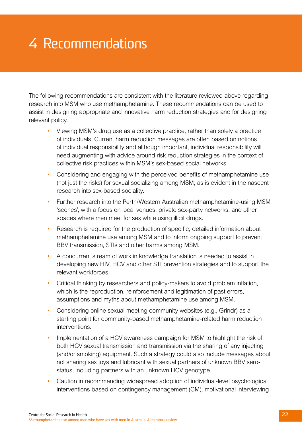# <span id="page-24-0"></span>4 Recommendations

The following recommendations are consistent with the literature reviewed above regarding research into MSM who use methamphetamine. These recommendations can be used to assist in designing appropriate and innovative harm reduction strategies and for designing relevant policy.

- Viewing MSM's drug use as a collective practice, rather than solely a practice of individuals. Current harm reduction messages are often based on notions of individual responsibility and although important, individual responsibility will need augmenting with advice around risk reduction strategies in the context of collective risk practices within MSM's sex-based social networks.
- Considering and engaging with the perceived benefits of methamphetamine use (not just the risks) for sexual socializing among MSM, as is evident in the nascent research into sex-based sociality.
- Further research into the Perth/Western Australian methamphetamine-using MSM 'scenes', with a focus on local venues, private sex-party networks, and other spaces where men meet for sex while using illicit drugs.
- Research is required for the production of specific, detailed information about methamphetamine use among MSM and to inform ongoing support to prevent BBV transmission, STIs and other harms among MSM.
- A concurrent stream of work in knowledge translation is needed to assist in developing new HIV, HCV and other STI prevention strategies and to support the relevant workforces.
- Critical thinking by researchers and policy-makers to avoid problem inflation, which is the reproduction, reinforcement and legitimation of past errors, assumptions and myths about methamphetamine use among MSM.
- Considering online sexual meeting community websites (e.g., Grindr) as a starting point for community-based methamphetamine-related harm reduction interventions.
- Implementation of a HCV awareness campaign for MSM to highlight the risk of both HCV sexual transmission and transmission via the sharing of any injecting (and/or smoking) equipment. Such a strategy could also include messages about not sharing sex toys and lubricant with sexual partners of unknown BBV serostatus, including partners with an unknown HCV genotype.
- Caution in recommending widespread adoption of individual-level psychological interventions based on contingency management (CM), motivational interviewing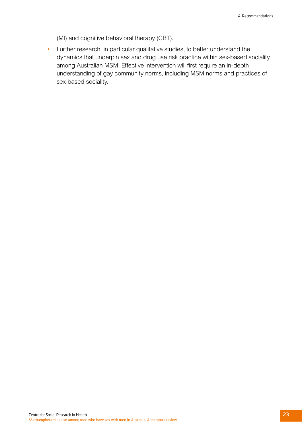(MI) and cognitive behavioral therapy (CBT).

• Further research, in particular qualitative studies, to better understand the dynamics that underpin sex and drug use risk practice within sex-based sociality among Australian MSM. Effective intervention will first require an in-depth understanding of gay community norms, including MSM norms and practices of sex-based sociality.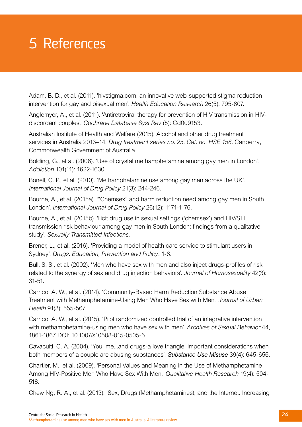# <span id="page-26-0"></span>5 References

Adam, B. D., et al. (2011). 'hivstigma.com, an innovative web-supported stigma reduction intervention for gay and bisexual men'. *Health Education Research* 26(5): 795-807.

Anglemyer, A., et al. (2011). 'Antiretroviral therapy for prevention of HIV transmission in HIVdiscordant couples'. *Cochrane Database Syst Rev* (5): Cd009153.

Australian Institute of Health and Welfare (2015). Alcohol and other drug treatment services in Australia 2013–14. *Drug treatment series no. 25. Cat. no. HSE 158.* Canberra, Commonwealth Government of Australia.

Bolding, G., et al. (2006). 'Use of crystal methamphetamine among gay men in London'. *Addiction* 101(11): 1622-1630.

Bonell, C. P., et al. (2010). 'Methamphetamine use among gay men across the UK'. *International Journal of Drug Policy* 21(3): 244-246.

Bourne, A., et al. (2015a). '"Chemsex" and harm reduction need among gay men in South London'. *International Journal of Drug Policy* 26(12): 1171-1176.

Bourne, A., et al. (2015b). 'llicit drug use in sexual settings ('chemsex') and HIV/STI transmission risk behaviour among gay men in South London: findings from a qualitative study'. *Sexually Transmitted Infections*.

Brener, L., et al. (2016). 'Providing a model of health care service to stimulant users in Sydney'. *Drugs: Education, Prevention and Policy*: 1-8.

Bull, S. S., et al. (2002). 'Men who have sex with men and also inject drugs-profiles of risk related to the synergy of sex and drug injection behaviors'. *Journal of Homosexuality* 42(3): 31-51.

Carrico, A. W., et al. (2014). 'Community-Based Harm Reduction Substance Abuse Treatment with Methamphetamine-Using Men Who Have Sex with Men'. *Journal of Urban Health* 91(3): 555-567.

Carrico, A. W., et al. (2015). 'Pilot randomized controlled trial of an integrative intervention with methamphetamine-using men who have sex with men'. *Archives of Sexual Behavior* 44, 1861-1867 DOI: 10.1007/s10508-015-0505-5.

Cavacuiti, C. A. (2004). 'You, me...and drugs-a love triangle: important considerations when both members of a couple are abusing substances'. *Substance Use Misuse* 39(4): 645-656.

Chartier, M., et al. (2009). 'Personal Values and Meaning in the Use of Methamphetamine Among HIV-Positive Men Who Have Sex With Men'. *Qualitative Health Research* 19(4): 504- 518.

Chew Ng, R. A., et al. (2013). 'Sex, Drugs (Methamphetamines), and the Internet: Increasing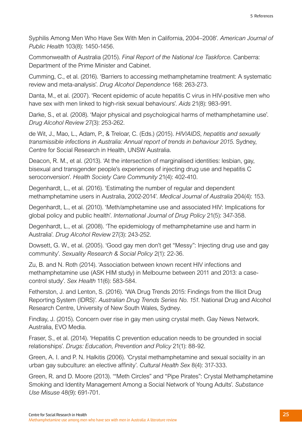Syphilis Among Men Who Have Sex With Men in California, 2004–2008'. *American Journal of Public Health* 103(8): 1450-1456.

Commonwealth of Australia (2015). *Final Report of the National Ice Taskforce*. Canberra: Department of the Prime Minister and Cabinet.

Cumming, C., et al. (2016). 'Barriers to accessing methamphetamine treatment: A systematic review and meta-analysis'. *Drug Alcohol Dependence* 168: 263-273.

Danta, M., et al. (2007). 'Recent epidemic of acute hepatitis C virus in HIV-positive men who have sex with men linked to high-risk sexual behaviours'. *Aids* 21(8): 983-991.

Darke, S., et al. (2008). 'Major physical and psychological harms of methamphetamine use'. *Drug Alcohol Review* 27(3): 253-262.

de Wit, J., Mao, L., Adam, P., & Treloar, C. (Eds.) (2015). *HIV/AIDS, hepatitis and sexually transmissible infections in Australia: Annual report of trends in behaviour 2015*. Sydney, Centre for Social Research in Health, UNSW Australia.

Deacon, R. M., et al. (2013). 'At the intersection of marginalised identities: lesbian, gay, bisexual and transgender people's experiences of injecting drug use and hepatitis C seroconversion'. *Health Society Care Community* 21(4): 402-410.

Degenhardt, L., et al. (2016). 'Estimating the number of regular and dependent methamphetamine users in Australia, 2002-2014'. *Medical Journal of Australia* 204(4): 153.

Degenhardt, L., et al. (2010). 'Meth/amphetamine use and associated HIV: Implications for global policy and public health'. *International Journal of Drug Policy* 21(5): 347-358.

Degenhardt, L., et al. (2008). 'The epidemiology of methamphetamine use and harm in Australia'. *Drug Alcohol Review* 27(3): 243-252.

Dowsett, G. W., et al. (2005). 'Good gay men don't get "Messy": Injecting drug use and gay community'. *Sexuality Research & Social Policy* 2(1): 22-36.

Zu, B. and N. Roth (2014). 'Association between known recent HIV infections and methamphetamine use (ASK HIM study) in Melbourne between 2011 and 2013: a casecontrol study'. *Sex Health* 11(6): 583-584.

Fetherston, J. and Lenton, S. (2016). 'WA Drug Trends 2015: Findings from the Illicit Drug Reporting System (IDRS)'. *Australian Drug Trends Series No. 151*. National Drug and Alcohol Research Centre, University of New South Wales, Sydney.

Findlay, J. (2015). Concern over rise in gay men using crystal meth. Gay News Network. Australia, EVO Media.

Fraser, S., et al. (2014). 'Hepatitis C prevention education needs to be grounded in social relationships'. *Drugs: Education, Prevention and Policy* 21(1): 88-92.

Green, A. I. and P. N. Halkitis (2006). 'Crystal methamphetamine and sexual sociality in an urban gay subculture: an elective affinity'. *Cultural Health Sex* 8(4): 317-333.

Green, R. and D. Moore (2013). '"Meth Circles" and "Pipe Pirates": Crystal Methamphetamine Smoking and Identity Management Among a Social Network of Young Adults'. *Substance Use Misuse* 48(9): 691-701.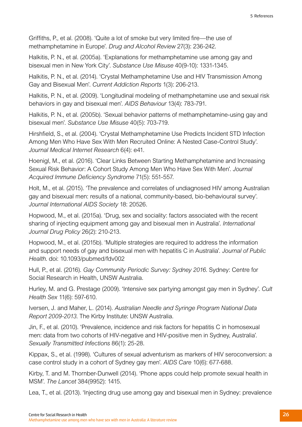Griffiths, P., et al. (2008). 'Quite a lot of smoke but very limited fire—the use of methamphetamine in Europe'. *Drug and Alcohol Review* 27(3): 236-242.

Halkitis, P. N., et al. (2005a). 'Explanations for methamphetamine use among gay and bisexual men in New York City'. *Substance Use Misuse* 40(9-10): 1331-1345.

Halkitis, P. N., et al. (2014). 'Crystal Methamphetamine Use and HIV Transmission Among Gay and Bisexual Men'. *Current Addiction Reports* 1(3): 206-213.

Halkitis, P. N., et al. (2009). 'Longitudinal modeling of methamphetamine use and sexual risk behaviors in gay and bisexual men'. *AIDS Behaviour* 13(4): 783-791.

Halkitis, P. N., et al. (2005b). 'Sexual behavior patterns of methamphetamine-using gay and bisexual men'. *Substance Use Misuse* 40(5): 703-719.

Hirshfield, S., et al. (2004). 'Crystal Methamphetamine Use Predicts Incident STD Infection Among Men Who Have Sex With Men Recruited Online: A Nested Case-Control Study'. *Journal Medical Internet Research* 6(4): e41.

Hoenigl, M., et al. (2016). 'Clear Links Between Starting Methamphetamine and Increasing Sexual Risk Behavior: A Cohort Study Among Men Who Have Sex With Men'. *Journal Acquired Immune Deficiency Syndrome* 71(5): 551-557.

Holt, M., et al. (2015). 'The prevalence and correlates of undiagnosed HIV among Australian gay and bisexual men: results of a national, community-based, bio-behavioural survey'. *Journal International AIDS Society* 18: 20526.

Hopwood, M., et al. (2015a). 'Drug, sex and sociality: factors associated with the recent sharing of injecting equipment among gay and bisexual men in Australia'. *International Journal Drug Policy* 26(2): 210-213.

Hopwood, M., et al. (2015b). 'Multiple strategies are required to address the information and support needs of gay and bisexual men with hepatitis C in Australia'. *Journal of Public Health*. doi: 10.1093/pubmed/fdv002

Hull, P., et al. (2016). *Gay Community Periodic Survey: Sydney 2016*. Sydney: Centre for Social Research in Health, UNSW Australia.

Hurley, M. and G. Prestage (2009). 'Intensive sex partying amongst gay men in Sydney'. *Cult Health Sex* 11(6): 597-610.

Iversen, J. and Maher, L. (2014). *Australian Needle and Syringe Program National Data Report 2009-2013*. The Kirby Institute: UNSW Australia.

Jin, F., et al. (2010). 'Prevalence, incidence and risk factors for hepatitis C in homosexual men: data from two cohorts of HIV-negative and HIV-positive men in Sydney, Australia'. *Sexually Transmitted Infections* 86(1): 25-28.

Kippax, S., et al. (1998). 'Cultures of sexual adventurism as markers of HIV seroconversion: a case control study in a cohort of Sydney gay men'. *AIDS Care* 10(6): 677-688.

Kirby, T. and M. Thornber-Dunwell (2014). 'Phone apps could help promote sexual health in MSM'. *The Lancet* 384(9952): 1415.

Lea, T., et al. (2013). 'Injecting drug use among gay and bisexual men in Sydney: prevalence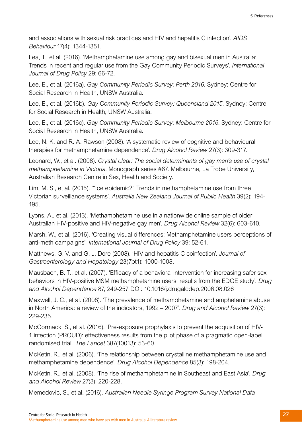and associations with sexual risk practices and HIV and hepatitis C infection'. *AIDS Behaviour* 17(4): 1344-1351.

Lea, T., et al. (2016). 'Methamphetamine use among gay and bisexual men in Australia: Trends in recent and regular use from the Gay Community Periodic Surveys'. *International Journal of Drug Policy* 29: 66-72.

Lee, E., et al. (2016a). *Gay Community Periodic Survey: Perth 2016*. Sydney: Centre for Social Research in Health, UNSW Australia.

Lee, E., et al. (2016b). *Gay Community Periodic Survey: Queensland 2015*. Sydney: Centre for Social Research in Health, UNSW Australia.

Lee, E., et al. (2016c). *Gay Community Periodic Survey: Melbourne 2016*. Sydney: Centre for Social Research in Health, UNSW Australia.

Lee, N. K. and R. A. Rawson (2008). 'A systematic review of cognitive and behavioural therapies for methamphetamine dependence'. *Drug Alcohol Review* 27(3): 309-317.

Leonard, W., et al. (2008). *Crystal clear: The social determinants of gay men's use of crystal methamphetamine in Victoria*. Monograph series #67. Melbourne, La Trobe University, Australian Research Centre in Sex, Health and Society.

Lim, M. S., et al. (2015). '"Ice epidemic?" Trends in methamphetamine use from three Victorian surveillance systems'. *Australia New Zealand Journal of Public Health* 39(2): 194- 195.

Lyons, A., et al. (2013). 'Methamphetamine use in a nationwide online sample of older Australian HIV-positive and HIV-negative gay men'. *Drug Alcohol Review* 32(6): 603-610.

Marsh, W., et al. (2016). 'Creating visual differences: Methamphetamine users perceptions of anti-meth campaigns'. *International Journal of Drug Policy* 39: 52-61.

Matthews, G. V. and G. J. Dore (2008). 'HIV and hepatitis C coinfection'. *Journal of Gastroenterology and Hepatology* 23(7pt1): 1000-1008.

Mausbach, B. T., et al. (2007). 'Efficacy of a behavioral intervention for increasing safer sex behaviors in HIV-positive MSM methamphetamine users: results from the EDGE study'. *Drug and Alcohol Dependence* 87, 249-257 DOI: 10.1016/j.drugalcdep.2006.08.026

Maxwell, J. C., et al. (2008). 'The prevalence of methamphetamine and amphetamine abuse in North America: a review of the indicators, 1992 – 2007'. *Drug and Alcohol Review* 27(3): 229-235.

McCormack, S., et al. (2016). 'Pre-exposure prophylaxis to prevent the acquisition of HIV-1 infection (PROUD): effectiveness results from the pilot phase of a pragmatic open-label randomised trial'. *The Lancet* 387(10013): 53-60.

McKetin, R., et al. (2006). 'The relationship between crystalline methamphetamine use and methamphetamine dependence'. *Drug Alcohol Dependence* 85(3): 198-204.

McKetin, R., et al. (2008). 'The rise of methamphetamine in Southeast and East Asia'. *Drug and Alcohol Review* 27(3): 220-228.

Memedovic, S., et al. (2016). *Australian Needle Syringe Program Survey National Data*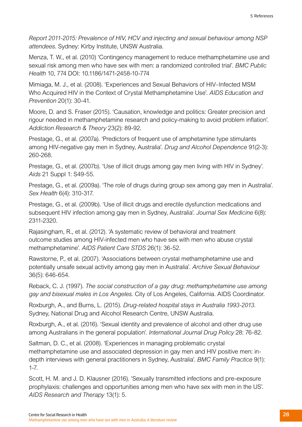*Report 2011-2015: Prevalence of HIV, HCV and injecting and sexual behaviour among NSP attendees*. Sydney: Kirby Institute, UNSW Australia.

Menza, T. W., et al. (2010) 'Contingency management to reduce methamphetamine use and sexual risk among men who have sex with men: a randomized controlled trial'. *BMC Public Health* 10, 774 DOI: 10.1186/1471-2458-10-774

Mimiaga, M. J., et al. (2008). 'Experiences and Sexual Behaviors of HIV–Infected MSM Who Acquired HIV in the Context of Crystal Methamphetamine Use'. *AIDS Education and Prevention* 20(1): 30-41.

Moore, D. and S. Fraser (2015). 'Causation, knowledge and politics: Greater precision and rigour needed in methamphetamine research and policy-making to avoid problem inflation'. *Addiction Research & Theory* 23(2): 89-92.

Prestage, G., et al. (2007a). 'Predictors of frequent use of amphetamine type stimulants among HIV-negative gay men in Sydney, Australia'. *Drug and Alcohol Dependence* 91(2-3): 260-268.

Prestage, G., et al. (2007b). 'Use of illicit drugs among gay men living with HIV in Sydney'. *Aids* 21 Suppl 1: S49-55.

Prestage, G., et al. (2009a). 'The role of drugs during group sex among gay men in Australia'. *Sex Health* 6(4): 310-317.

Prestage, G., et al. (2009b). 'Use of illicit drugs and erectile dysfunction medications and subsequent HIV infection among gay men in Sydney, Australia'. *Journal Sex Medicine* 6(8): 2311-2320.

Rajasingham, R., et al. (2012). 'A systematic review of behavioral and treatment outcome studies among HIV-infected men who have sex with men who abuse crystal methamphetamine'. *AIDS Patient Care STDS* 26(1): 36-52.

Rawstorne, P., et al. (2007). 'Associations between crystal methamphetamine use and potentially unsafe sexual activity among gay men in Australia'. *Archive Sexual Behaviour*  36(5): 646-654.

Reback, C. J. (1997). *The social construction of a gay drug: methamphetamine use among gay and bisexual males in Los Angeles*. City of Los Angeles, California. AIDS Coordinator.

Roxburgh, A., and Burns, L. (2015). *Drug-related hospital stays in Australia 1993-2013*. Sydney, National Drug and Alcohol Research Centre, UNSW Australia.

Roxburgh, A., et al. (2016). 'Sexual identity and prevalence of alcohol and other drug use among Australians in the general population'. *International Journal Drug Policy* 28: 76-82.

Saltman, D. C., et al. (2008). 'Experiences in managing problematic crystal methamphetamine use and associated depression in gay men and HIV positive men: indepth interviews with general practitioners in Sydney, Australia'. *BMC Family Practice* 9(1): 1-7.

Scott, H. M. and J. D. Klausner (2016). 'Sexually transmitted infections and pre-exposure prophylaxis: challenges and opportunities among men who have sex with men in the US'. *AIDS Research and Therapy* 13(1): 5.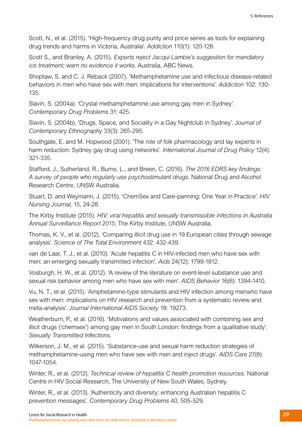Scott, N., et al. (2015). 'High-frequency drug purity and price series as tools for explaining drug trends and harms in Victoria, Australia'. *Addiction* 110(1): 120-128.

Scott S., and Branley, A. (2015). *Experts reject Jacqui Lambie's suggestion for mandatory ice treatment; warn no evidence it works*. Australia, ABC News.

Shoptaw, S. and C. J. Reback (2007). 'Methamphetamine use and infectious disease-related behaviors in men who have sex with men: implications for interventions'. *Addiction* 102: 130- 135.

Slavin, S. (2004a). 'Crystal methamphetamine use among gay men in Sydney'. *Contemporary Drug Problems* 31: 425.

Slavin, S. (2004b). 'Drugs, Space, and Sociality in a Gay Nightclub in Sydney'. J*ournal of Contemporary Ethnography* 33(3): 265-295.

Southgate, E. and M. Hopwood (2001). 'The role of folk pharmacology and lay experts in harm reduction: Sydney gay drug using networks'. *International Journal of Drug Policy* 12(4): 321-335.

Stafford, J., Sutherland, R., Burns, L., and Breen, C. (2016). *The 2016 EDRS key findings: A survey of people who regularly use psychostimulant drugs*. National Drug and Alcohol Research Centre, UNSW Australia.

Stuart, D. and Weymann, J. (2015). 'ChemSex and Care-panning: One Year in Practice'. *HIV Nursing Journal*, 15, 24-28.

The Kirby Institute (2015). *HIV, viral hepatitis and sexually transmissible infections in Australia Annual Surveillance Report 2015*. The Kirby Institute, UNSW Australia.

Thomas, K. V., et al. (2012). 'Comparing illicit drug use in 19 European cities through sewage analysis'. *Science of The Total Environment* 432: 432-439.

van de Laar, T. J., et al. (2010). 'Acute hepatitis C in HIV-infected men who have sex with men: an emerging sexually transmitted infection'. *Aids* 24(12): 1799-1812.

Vosburgh, H. W., et al. (2012). 'A review of the literature on event-level substance use and sexual risk behavior among men who have sex with men'. *AIDS Behavior* 16(6): 1394-1410.

Vu, N. T., et al. (2015). 'Amphetamine-type stimulants and HIV infection among menwho have sex with men: implications on HIV research and prevention from a systematic review and meta-analysis'. *Journal International AIDS Society* 18: 19273.

Weatherburn, P., et al. (2016). 'Motivations and values associated with combining sex and illicit drugs ('chemsex') among gay men in South London: findings from a qualitative study'. *Sexually Transmitted Infections*.

Wilkerson, J. M., et al. (2015). 'Substance-use and sexual harm reduction strategies of methamphetamine-using men who have sex with men and inject drugs'. *AIDS Care* 27(8): 1047-1054.

Winter, R., et al. (2012). *Technical review of hepatitis C health promotion resources*. National Centre in HIV Social Research, The University of New South Wales, Sydney.

Winter, R., et al. (2013). 'Authenticity and diversity: enhancing Australian hepatitis C prevention messages'. *Contemporary Drug Problems* 40, 505-529.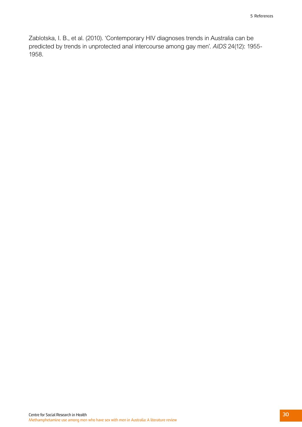Zablotska, I. B., et al. (2010). 'Contemporary HIV diagnoses trends in Australia can be predicted by trends in unprotected anal intercourse among gay men'. *AIDS* 24(12): 1955- 1958.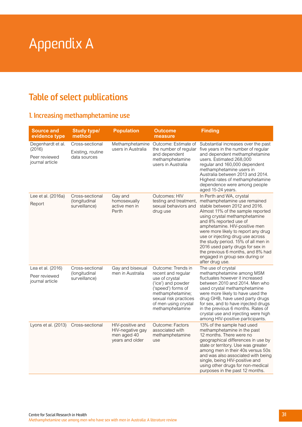# <span id="page-33-0"></span>Appendix A

# **Table of select publications**

## **1. Increasing methamphetamine use**

| <b>Source and</b><br>evidence type                              | <b>Study type/</b><br>method                         | <b>Population</b>                                                      | <b>Outcome</b><br>measure                                                                                                                                                                      | <b>Finding</b>                                                                                                                                                                                                                                                                                                                                                                                                                                                             |
|-----------------------------------------------------------------|------------------------------------------------------|------------------------------------------------------------------------|------------------------------------------------------------------------------------------------------------------------------------------------------------------------------------------------|----------------------------------------------------------------------------------------------------------------------------------------------------------------------------------------------------------------------------------------------------------------------------------------------------------------------------------------------------------------------------------------------------------------------------------------------------------------------------|
| Degenhardt et al.<br>(2016)<br>Peer reviewed<br>journal article | Cross-sectional<br>Existing, routine<br>data sources | Methamphetamine<br>users in Australia                                  | Outcome: Estimate of<br>the number of regular<br>and dependent<br>methamphetamine<br>users in Australia                                                                                        | Substantial increases over the past<br>five years in the number of regular<br>and dependent methamphetamine<br>users. Estimated 268,000<br>regular and 160,000 dependent<br>methamphetamine users in<br>Australia between 2013 and 2014.<br>Highest rates of methamphetamine<br>dependence were among people<br>aged 15-24 years.                                                                                                                                          |
| Lee et al. (2016a)<br>Report                                    | Cross-sectional<br>(longitudinal<br>surveillance)    | Gay and<br>homosexually<br>active men in<br>Perth                      | Outcomes: HIV<br>testing and treatment,<br>sexual behaviors and<br>drug use                                                                                                                    | In Perth and WA, crystal<br>methamphetamine use remained<br>stable between 2012 and 2016.<br>Almost 11% of the sample reported<br>using crystal methamphetamine<br>and 8% reported use of<br>amphetamine. HIV-positive men<br>were more likely to report any drug<br>use or injecting drug use across<br>the study period. 15% of all men in<br>2016 used party drugs for sex in<br>the previous 6 months, and 8% had<br>engaged in group sex during or<br>after drug use. |
| Lea et al. (2016)<br>Peer reviewed<br>journal article           | Cross-sectional<br>(longitudinal<br>surveillance)    | Gay and bisexual<br>men in Australia                                   | Outcome: Trends in<br>recent and regular<br>use of crystal<br>('ice') and powder<br>('speed') forms of<br>methamphetamine;<br>sexual risk practices<br>of men using crystal<br>methamphetamine | The use of crystal<br>methamphetamine among MSM<br>fluctuates however it increased<br>between 2010 and 2014. Men who<br>used crystal methamphetamine<br>were more likely to have used the<br>drug GHB, have used party drugs<br>for sex, and to have injected drugs<br>in the previous 6 months. Rates of<br>crystal use and injecting were high<br>among HIV-positive participants.                                                                                       |
| Lyons et al. (2013)                                             | Cross-sectional                                      | HIV-positive and<br>HIV-negative gay<br>men aged 40<br>years and older | <b>Outcome: Factors</b><br>associated with<br>methamphetamine<br>use                                                                                                                           | 13% of the sample had used<br>methamphetamine in the past<br>12 months. There were no<br>geographical differences in use by<br>state or territory. Use was greater<br>among men in their 40s versus 50s<br>and was also associated with being<br>single, being HIV-positive and<br>using other drugs for non-medical<br>purposes in the past 12 months.                                                                                                                    |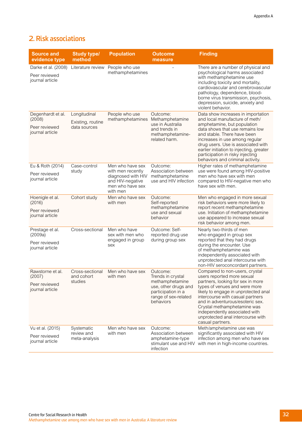## **2. Risk associations**

| <b>Source and</b><br>evidence type                              | <b>Study type/</b><br>method                      | <b>Population</b>                                                                                               | <b>Outcome</b><br>measure                                                                                                           | <b>Finding</b>                                                                                                                                                                                                                                                                                                                                                              |
|-----------------------------------------------------------------|---------------------------------------------------|-----------------------------------------------------------------------------------------------------------------|-------------------------------------------------------------------------------------------------------------------------------------|-----------------------------------------------------------------------------------------------------------------------------------------------------------------------------------------------------------------------------------------------------------------------------------------------------------------------------------------------------------------------------|
| Darke et al. (2008)<br>Peer reviewed<br>journal article         | Literature review                                 | People who use<br>methamphetamines                                                                              |                                                                                                                                     | There are a number of physical and<br>psychological harms associated<br>with methamphetamine use<br>including toxicity and mortality,<br>cardiovascular and cerebrovascular<br>pathology, dependence, blood-<br>borne virus transmission, psychosis,<br>depression, suicide, anxiety and<br>violent behavior.                                                               |
| Degenhardt et al.<br>(2008)<br>Peer reviewed<br>journal article | Longitudinal<br>Existing, routine<br>data sources | People who use<br>methamphetamines                                                                              | Outcome:<br>Methamphetamine<br>use in Australia<br>and trends in<br>methamphetamine-<br>related harm.                               | Data show increases in importation<br>and local manufacture of meth/<br>amphetamine, but population<br>data shows that use remains low<br>and stable. There have been<br>increases in use among regular<br>drug users. Use is associated with<br>earlier initiation to injecting, greater<br>participation in risky injecting<br>behaviors and criminal activity.           |
| Eu & Roth (2014)<br>Peer reviewed<br>journal article            | Case-control<br>study                             | Men who have sex<br>with men recently<br>diagnosed with HIV<br>and HIV-negative<br>men who have sex<br>with men | Outcome:<br>Association between<br>methamphetamine<br>use and HIV infection                                                         | Higher rates of methamphetamine<br>use were found among HIV-positive<br>men who have sex with men<br>compared to HIV-negative men who<br>have sex with men.                                                                                                                                                                                                                 |
| Hoenigle et al.<br>(2016)<br>Peer reviewed<br>journal article   | Cohort study                                      | Men who have sex<br>with men                                                                                    | Outcome:<br>Self-reported<br>methamphetamine<br>use and sexual<br>behavior                                                          | Men who engaged in more sexual<br>risk behaviors were more likely to<br>report recent methamphetamine<br>use. Initiation of methamphetamine<br>use appeared to increase sexual<br>risk behavior among men.                                                                                                                                                                  |
| Prestage et al.<br>(2009a)<br>Peer reviewed<br>journal article  | Cross-sectional                                   | Men who have<br>sex with men who<br>engaged in group<br>sex                                                     | Outcome: Self-<br>reported drug use<br>during group sex                                                                             | Nearly two-thirds of men<br>who engaged in group sex<br>reported that they had drugs<br>during the encounter. Use<br>of methamphetamine was<br>independently associated with<br>unprotected anal intercourse with<br>non-HIV seroconcordant partners.                                                                                                                       |
| Rawstorne et al.<br>(2007)<br>Peer reviewed<br>journal article  | Cross-sectional<br>and cohort<br>studies          | Men who have sex<br>with men                                                                                    | Outcome:<br>Trends in crystal<br>methamphetamine<br>use, other drugs and<br>participation in a<br>range of sex-related<br>behaviors | Compared to non-users, crystal<br>users reported more sexual<br>partners, looking for sex in more<br>types of venues and were more<br>likely to engage in unprotected anal<br>intercourse with casual partners<br>and in adventurous/esoteric sex.<br>Crystal methamphetamine was<br>independently associated with<br>unprotected anal intercourse with<br>casual partners. |
| Vu et al. (2015)<br>Peer reviewed<br>journal article            | Systematic<br>review and<br>meta-analysis         | Men who have sex<br>with men                                                                                    | Outcome:<br>Association between<br>amphetamine-type<br>stimulant use and HIV<br>infection                                           | Meth/amphetamine use was<br>significantly associated with HIV<br>infection among men who have sex<br>with men in high-income countries.                                                                                                                                                                                                                                     |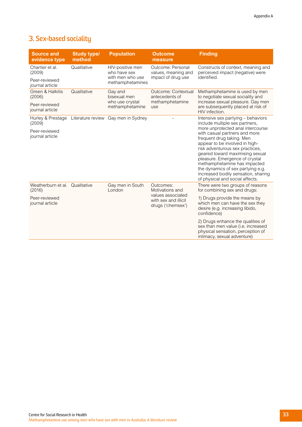## **3. Sex-based sociality**

| <b>Source and</b><br>evidence type | <b>Study type/</b><br>method | <b>Population</b>                                             | <b>Outcome</b><br>measure                                                                      | <b>Finding</b>                                                                                                                                                                                                                                                                                                                                                                           |  |
|------------------------------------|------------------------------|---------------------------------------------------------------|------------------------------------------------------------------------------------------------|------------------------------------------------------------------------------------------------------------------------------------------------------------------------------------------------------------------------------------------------------------------------------------------------------------------------------------------------------------------------------------------|--|
| Chartier et al.<br>(2009)          | Qualitative                  | HIV-positive men<br>who have sex                              | Outcome: Personal<br>values, meaning and                                                       | Constructs of context, meaning and<br>perceived impact (negative) were                                                                                                                                                                                                                                                                                                                   |  |
| Peer-reviewed<br>journal article   |                              | with men who use<br>methamphetamines                          | impact of drug use                                                                             | identified.                                                                                                                                                                                                                                                                                                                                                                              |  |
| Green & Halkitis<br>(2006)         | Qualitative                  | Gay and<br>bisexual men<br>who use crystal<br>methamphetamine | Outcome: Contextual<br>antecedents of<br>methamphetamine<br>use                                | Methamphetamine is used by men<br>to negotiate sexual sociality and<br>increase sexual pleasure. Gay men<br>are subsequently placed at risk of<br>HIV infection.                                                                                                                                                                                                                         |  |
| Peer-reviewed<br>journal article   |                              |                                                               |                                                                                                |                                                                                                                                                                                                                                                                                                                                                                                          |  |
| Hurley & Prestage<br>(2009)        |                              | Literature review Gay men in Sydney                           |                                                                                                | Intensive sex partying - behaviors<br>include multiple sex partners,                                                                                                                                                                                                                                                                                                                     |  |
| Peer-reviewed<br>journal article   |                              |                                                               |                                                                                                | more unprotected anal intercourse<br>with casual partners and more<br>frequent drug taking. Men<br>appear to be involved in high-<br>risk adventurous sex practices,<br>geared toward maximising sexual<br>pleasure. Emergence of crystal<br>methamphetamine has impacted<br>the dynamics of sex partying e.g.<br>increased bodily sensation, sharing<br>of physical and social affects. |  |
| Weatherburn et al.<br>(2016)       | Qualitative                  | Gay men in South<br>London                                    | Outcomes:<br>Motivations and<br>values associated<br>with sex and illicit<br>drugs ('chemsex') | There were two groups of reasons<br>for combining sex and drugs:                                                                                                                                                                                                                                                                                                                         |  |
| Peer-reviewed<br>journal article   |                              |                                                               |                                                                                                | 1) Drugs provide the means by<br>which men can have the sex they<br>desire (e.g. increasing libido,<br>confidence)                                                                                                                                                                                                                                                                       |  |
|                                    |                              |                                                               |                                                                                                | 2) Drugs enhance the qualities of<br>sex than men value (i.e. increased<br>physical sensation, perception of<br>intimacy, sexual adventure)                                                                                                                                                                                                                                              |  |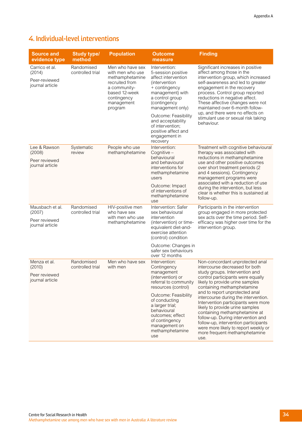## **4. Individual-level interventions**

| <b>Source and</b><br>evidence type                            | <b>Study type/</b><br>method   | <b>Population</b>                                                                                                                                  | <b>Outcome</b><br>measure                                                                                                                                               | <b>Finding</b>                                                                                                                                                                                                                                                                                                                                                                                                |
|---------------------------------------------------------------|--------------------------------|----------------------------------------------------------------------------------------------------------------------------------------------------|-------------------------------------------------------------------------------------------------------------------------------------------------------------------------|---------------------------------------------------------------------------------------------------------------------------------------------------------------------------------------------------------------------------------------------------------------------------------------------------------------------------------------------------------------------------------------------------------------|
| Carrico et al.<br>(2014)<br>Peer-reviewed<br>journal article  | Randomised<br>controlled trial | Men who have sex<br>with men who use<br>methamphetamine<br>recruited from<br>a community-<br>based 12-week<br>contingency<br>management<br>program | Intervention:<br>5-session positive<br>affect intervention<br>(intervention<br>+ contingency<br>management) with<br>a control group<br>(contingency<br>management only) | Significant increases in positive<br>affect among those in the<br>intervention group, which increased<br>self-awareness and led to greater<br>engagement in the recovery<br>process. Control group reported<br>reductions in negative affect.<br>These affective changes were not<br>maintained over 6-month follow-<br>up, and there were no effects on<br>stimulant use or sexual risk taking<br>behaviour. |
|                                                               |                                |                                                                                                                                                    | Outcome: Feasibility<br>and acceptability<br>of intervention;<br>positive affect and<br>engagement in<br>recovery                                                       |                                                                                                                                                                                                                                                                                                                                                                                                               |
| Lee & Rawson<br>(2008)<br>Peer reviewed<br>journal article    | Systematic<br>review           | People who use<br>methamphetamine                                                                                                                  | Intervention:<br>Cognitive -<br>behavioural<br>and behavioural<br>interventions for<br>methamphetamine<br>users                                                         | Treatment with cognitive behavioural<br>therapy was associated with<br>reductions in methamphetamine<br>use and other positive outcomes<br>over short treatment periods (2<br>and 4 sessions). Contingency<br>management programs were                                                                                                                                                                        |
|                                                               |                                |                                                                                                                                                    | Outcome: Impact<br>of interventions of<br>methamphetamine<br>use                                                                                                        | associated with a reduction of use<br>during the intervention, but less<br>clear is whether this is sustained at<br>follow-up.                                                                                                                                                                                                                                                                                |
| Mausbach et al.<br>(2007)<br>Peer reviewed<br>journal article | Randomised<br>controlled trial | HIV-positive men<br>who have sex<br>with men who use<br>methamphetamine                                                                            | Intervention: Safer<br>sex behavioural<br>intervention<br>(intervention) or time-<br>equivalent diet-and-<br>exercise attention<br>(control) condition                  | Participants in the intervention<br>group engaged in more protected<br>sex acts over the time period. Self-<br>efficacy was higher over time for the<br>intervention group.                                                                                                                                                                                                                                   |
|                                                               |                                |                                                                                                                                                    | Outcome: Changes in<br>safer sex behaviours<br>over 12 months                                                                                                           |                                                                                                                                                                                                                                                                                                                                                                                                               |
| Menza et al.<br>(2010)<br>Peer reviewed<br>journal article    | Randomised<br>controlled trial | Men who have sex<br>with men                                                                                                                       | Intervention:<br>Contingency<br>management<br>(intervention) or<br>referral to community<br>resources (control)                                                         | Non-concordant unprotected anal<br>intercourse decreased for both<br>study groups. Intervention and<br>control participants were equally<br>likely to provide urine samples<br>containing methamphetamine                                                                                                                                                                                                     |
|                                                               |                                |                                                                                                                                                    | Outcome: Feasibility<br>of conducting<br>a larger trial;<br>behavioural<br>outcomes; effect<br>of contingency<br>management on<br>methamphetamine<br>use                | and to report unprotected anal<br>intercourse during the intervention.<br>Intervention participants were more<br>likely to provide urine samples<br>containing methamphetamine at<br>follow-up. During intervention and<br>follow-up, intervention participants<br>were more likely to report weekly or<br>more frequent methamphetamine<br>use.                                                              |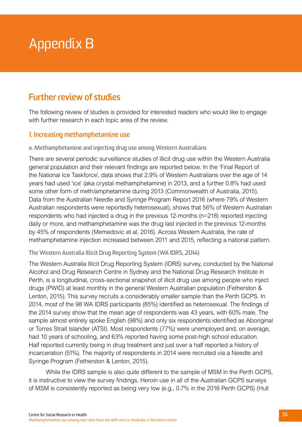# <span id="page-37-0"></span>Appendix B

# **Further review of studies**

The following review of studies is provided for interested readers who would like to engage with further research in each topic area of the review.

## **1. Increasing methamphetamine use**

#### **a. Methamphetamine and injecting drug use among Western Australians**

There are several periodic surveillance studies of illicit drug use within the Western Australia general population and their relevant findings are reported below. In the 'Final Report of the National Ice Taskforce', data shows that 2.9% of Western Australians over the age of 14 years had used 'ice' (aka crystal methamphetamine) in 2013, and a further 0.8% had used some other form of meth/amphetamine during 2013 (Commonwealth of Australia, 2015). Data from the Australian Needle and Syringe Program Report 2016 (where 79% of Western Australian respondents were reportedly heterosexual), shows that 56% of Western Australian respondents who had injected a drug in the previous 12-months (n=218) reported injecting daily or more, and methamphetamine was the drug last injected in the previous 12-months by 45% of respondents (Memedovic et al, 2016). Across Western Australia, the rate of methamphetamine injection increased between 2011 and 2015, reflecting a national pattern.

**The Western Australia Illicit Drug Reporting System (WA IDRS, 2014)**

The Western Australia Illicit Drug Reporting System (IDRS) survey, conducted by the National Alcohol and Drug Research Centre in Sydney and the National Drug Research Institute in Perth, is a longitudinal, cross-sectional snapshot of illicit drug use among people who inject drugs (PWID) at least monthly in the general Western Australian population (Fetherston & Lenton, 2015). This survey recruits a considerably smaller sample than the Perth GCPS. In 2014, most of the 98 WA IDRS participants (85%) identified as heterosexual. The findings of the 2014 survey show that the mean age of respondents was 43 years, with 60% male. The sample almost entirely spoke English (98%) and only six respondents identified as Aboriginal or Torres Strait Islander (ATSI). Most respondents (77%) were unemployed and, on average, had 10 years of schooling, and 63% reported having some post-high school education. Half reported currently being in drug treatment and just over a half reported a history of incarceration (51%). The majority of respondents in 2014 were recruited via a Needle and Syringe Program (Fetherston & Lenton, 2015).

While the IDRS sample is also quite different to the sample of MSM in the Perth GCPS, it is instructive to view the survey findings. Heroin use in all of the Australian GCPS surveys of MSM is consistently reported as being very low (e.g., 0.7% in the 2016 Perth GCPS) (Hull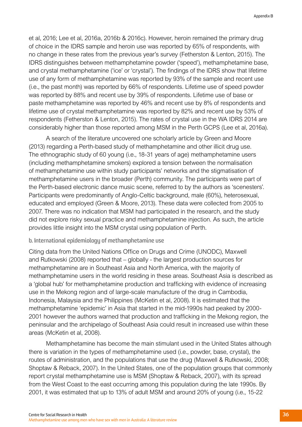et al, 2016; Lee et al, 2016a, 2016b & 2016c). However, heroin remained the primary drug of choice in the IDRS sample and heroin use was reported by 65% of respondents, with no change in these rates from the previous year's survey (Fetherston & Lenton, 2015). The IDRS distinguishes between methamphetamine powder ('speed'), methamphetamine base, and crystal methamphetamine ('ice' or 'crystal'). The findings of the IDRS show that lifetime use of any form of methamphetamine was reported by 93% of the sample and recent use (i.e., the past month) was reported by 66% of respondents. Lifetime use of speed powder was reported by 88% and recent use by 39% of respondents. Lifetime use of base or paste methamphetamine was reported by 46% and recent use by 8% of respondents and lifetime use of crystal methamphetamine was reported by 82% and recent use by 53% of respondents (Fetherston & Lenton, 2015). The rates of crystal use in the WA IDRS 2014 are considerably higher than those reported among MSM in the Perth GCPS (Lee et al, 2016a).

A search of the literature uncovered one scholarly article by Green and Moore (2013) regarding a Perth-based study of methamphetamine and other illicit drug use. The ethnographic study of 60 young (i.e., 18-31 years of age) methamphetamine users (including methamphetamine smokers) explored a tension between the normalisation of methamphetamine use within study participants' networks and the stigmatisation of methamphetamine users in the broader (Perth) community. The participants were part of the Perth-based electronic dance music scene, referred to by the authors as 'scenesters'. Participants were predominantly of Anglo-Celtic background, male (60%), heterosexual, educated and employed (Green & Moore, 2013). These data were collected from 2005 to 2007. There was no indication that MSM had participated in the research, and the study did not explore risky sexual practice and methamphetamine injection. As such, the article provides little insight into the MSM crystal using population of Perth.

#### **b. International epidemiology of methamphetamine use**

Citing data from the United Nations Office on Drugs and Crime (UNODC), Maxwell and Rutkowski (2008) reported that – globally - the largest production sources for methamphetamine are in Southeast Asia and North America, with the majority of methamphetamine users in the world residing in these areas. Southeast Asia is described as a 'global hub' for methamphetamine production and trafficking with evidence of increasing use in the Mekong region and of large-scale manufacture of the drug in Cambodia, Indonesia, Malaysia and the Philippines (McKetin et al, 2008). It is estimated that the methamphetamine 'epidemic' in Asia that started in the mid-1990s had peaked by 2000- 2001 however the authors warned that production and trafficking in the Mekong region, the peninsular and the archipelago of Southeast Asia could result in increased use within these areas (McKetin et al, 2008).

Methamphetamine has become the main stimulant used in the United States although there is variation in the types of methamphetamine used (i.e., powder, base, crystal), the routes of administration, and the populations that use the drug (Maxwell & Rutkowski, 2008; Shoptaw & Reback, 2007). In the United States, one of the population groups that commonly report crystal methamphetamine use is MSM (Shoptaw & Reback, 2007), with its spread from the West Coast to the east occurring among this population during the late 1990s. By 2001, it was estimated that up to 13% of adult MSM and around 20% of young (i.e., 15-22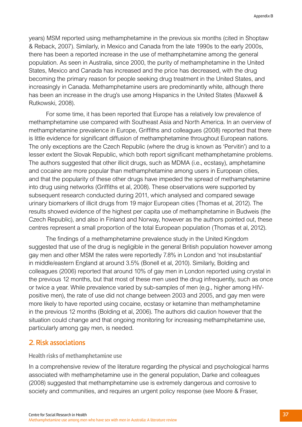years) MSM reported using methamphetamine in the previous six months (cited in Shoptaw & Reback, 2007). Similarly, in Mexico and Canada from the late 1990s to the early 2000s, there has been a reported increase in the use of methamphetamine among the general population. As seen in Australia, since 2000, the purity of methamphetamine in the United States, Mexico and Canada has increased and the price has decreased, with the drug becoming the primary reason for people seeking drug treatment in the United States, and increasingly in Canada. Methamphetamine users are predominantly white, although there has been an increase in the drug's use among Hispanics in the United States (Maxwell & Rutkowski, 2008).

For some time, it has been reported that Europe has a relatively low prevalence of methamphetamine use compared with Southeast Asia and North America. In an overview of methamphetamine prevalence in Europe, Griffiths and colleagues (2008) reported that there is little evidence for significant diffusion of methamphetamine throughout European nations. The only exceptions are the Czech Republic (where the drug is known as 'Pervitin') and to a lesser extent the Slovak Republic, which both report significant methamphetamine problems. The authors suggested that other illicit drugs, such as MDMA (i.e., ecstasy), amphetamine and cocaine are more popular than methamphetamine among users in European cities, and that the popularity of these other drugs have impeded the spread of methamphetamine into drug using networks (Griffiths et al, 2008). These observations were supported by subsequent research conducted during 2011, which analysed and compared sewage urinary biomarkers of illicit drugs from 19 major European cities (Thomas et al, 2012). The results showed evidence of the highest per capita use of methamphetamine in Budweis (the Czech Republic), and also in Finland and Norway, however as the authors pointed out, these centres represent a small proportion of the total European population (Thomas et al, 2012).

The findings of a methamphetamine prevalence study in the United Kingdom suggested that use of the drug is negligible in the general British population however among gay men and other MSM the rates were reportedly 7.8% in London and 'not insubstantial' in middle/eastern England at around 3.5% (Bonell et al, 2010). Similarly, Bolding and colleagues (2006) reported that around 10% of gay men in London reported using crystal in the previous 12 months, but that most of these men used the drug infrequently, such as once or twice a year. While prevalence varied by sub-samples of men (e.g., higher among HIVpositive men), the rate of use did not change between 2003 and 2005, and gay men were more likely to have reported using cocaine, ecstasy or ketamine than methamphetamine in the previous 12 months (Bolding et al, 2006). The authors did caution however that the situation could change and that ongoing monitoring for increasing methamphetamine use, particularly among gay men, is needed.

#### **2. Risk associations**

#### **Health risks of methamphetamine use**

In a comprehensive review of the literature regarding the physical and psychological harms associated with methamphetamine use in the general population, Darke and colleagues (2008) suggested that methamphetamine use is extremely dangerous and corrosive to society and communities, and requires an urgent policy response (see Moore & Fraser,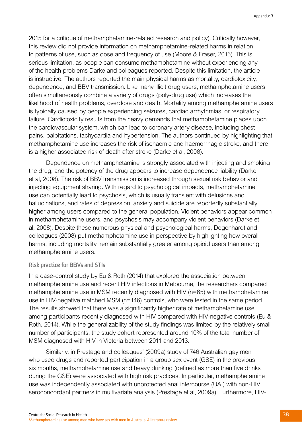2015 for a critique of methamphetamine-related research and policy). Critically however, this review did not provide information on methamphetamine-related harms in relation to patterns of use, such as dose and frequency of use (Moore & Fraser, 2015). This is serious limitation, as people can consume methamphetamine without experiencing any of the health problems Darke and colleagues reported. Despite this limitation, the article is instructive. The authors reported the main physical harms as mortality, cardiotoxicity, dependence, and BBV transmission. Like many illicit drug users, methamphetamine users often simultaneously combine a variety of drugs (poly-drug use) which increases the likelihood of health problems, overdose and death. Mortality among methamphetamine users is typically caused by people experiencing seizures, cardiac arrhythmias, or respiratory failure. Cardiotoxicity results from the heavy demands that methamphetamine places upon the cardiovascular system, which can lead to coronary artery disease, including chest pains, palpitations, tachycardia and hypertension. The authors continued by highlighting that methamphetamine use increases the risk of ischaemic and haemorrhagic stroke, and there is a higher associated risk of death after stroke (Darke et al, 2008).

Dependence on methamphetamine is strongly associated with injecting and smoking the drug, and the potency of the drug appears to increase dependence liability (Darke et al, 2008). The risk of BBV transmission is increased through sexual risk behavior and injecting equipment sharing. With regard to psychological impacts, methamphetamine use can potentially lead to psychosis, which is usually transient with delusions and hallucinations, and rates of depression, anxiety and suicide are reportedly substantially higher among users compared to the general population. Violent behaviors appear common in methamphetamine users, and psychosis may accompany violent behaviors (Darke et al, 2008). Despite these numerous physical and psychological harms, Degenhardt and colleagues (2008) put methamphetamine use in perspective by highlighting how overall harms, including mortality, remain substantially greater among opioid users than among methamphetamine users.

#### **Risk practice for BBVs and STIs**

In a case-control study by Eu & Roth (2014) that explored the association between methamphetamine use and recent HIV infections in Melbourne, the researchers compared methamphetamine use in MSM recently diagnosed with HIV (n=65) with methamphetamine use in HIV-negative matched MSM (n=146) controls, who were tested in the same period. The results showed that there was a significantly higher rate of methamphetamine use among participants recently diagnosed with HIV compared with HIV-negative controls (Eu & Roth, 2014). While the generalizability of the study findings was limited by the relatively small number of participants, the study cohort represented around 10% of the total number of MSM diagnosed with HIV in Victoria between 2011 and 2013.

Similarly, in Prestage and colleagues' (2009a) study of 746 Australian gay men who used drugs and reported participation in a group sex event (GSE) in the previous six months, methamphetamine use and heavy drinking (defined as more than five drinks during the GSE) were associated with high risk practices. In particular, methamphetamine use was independently associated with unprotected anal intercourse (UAI) with non-HIV seroconcordant partners in multivariate analysis (Prestage et al, 2009a). Furthermore, HIV-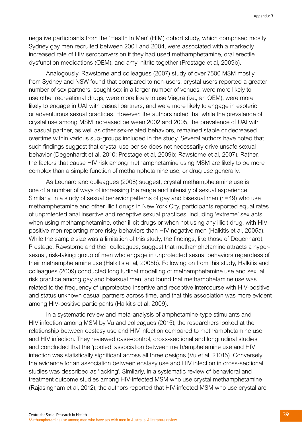negative participants from the 'Health In Men' (HIM) cohort study, which comprised mostly Sydney gay men recruited between 2001 and 2004, were associated with a markedly increased rate of HIV seroconversion if they had used methamphetamine, oral erectile dysfunction medications (OEM), and amyl nitrite together (Prestage et al, 2009b).

Analogously, Rawstorne and colleagues (2007) study of over 7500 MSM mostly from Sydney and NSW found that compared to non-users, crystal users reported a greater number of sex partners, sought sex in a larger number of venues, were more likely to use other recreational drugs, were more likely to use Viagra (i.e., an OEM), were more likely to engage in UAI with casual partners, and were more likely to engage in esoteric or adventurous sexual practices. However, the authors noted that while the prevalence of crystal use among MSM increased between 2002 and 2005, the prevalence of UAI with a casual partner, as well as other sex-related behaviors, remained stable or decreased overtime within various sub-groups included in the study. Several authors have noted that such findings suggest that crystal use per se does not necessarily drive unsafe sexual behavior (Degenhardt et al, 2010; Prestage et al, 2009b; Rawstorne et al, 2007). Rather, the factors that cause HIV risk among methamphetamine using MSM are likely to be more complex than a simple function of methamphetamine use, or drug use generally.

As Leonard and colleagues (2008) suggest, crystal methamphetamine use is one of a number of ways of increasing the range and intensity of sexual experience. Similarly, in a study of sexual behavior patterns of gay and bisexual men (n=49) who use methamphetamine and other illicit drugs in New York City, participants reported equal rates of unprotected anal insertive and receptive sexual practices, including 'extreme' sex acts, when using methamphetamine, other illicit drugs or when not using any illicit drug, with HIVpositive men reporting more risky behaviors than HIV-negative men (Halkitis et al, 2005a). While the sample size was a limitation of this study, the findings, like those of Degenhardt, Prestage, Rawstorne and their colleagues, suggest that methamphetamine attracts a hypersexual, risk-taking group of men who engage in unprotected sexual behaviors regardless of their methamphetamine use (Halkitis et al, 2005b). Following on from this study, Halkitis and colleagues (2009) conducted longitudinal modelling of methamphetamine use and sexual risk practice among gay and bisexual men, and found that methamphetamine use was related to the frequency of unprotected insertive and receptive intercourse with HIV-positive and status unknown casual partners across time, and that this association was more evident among HIV-positive participants (Halkitis et al, 2009).

In a systematic review and meta-analysis of amphetamine-type stimulants and HIV infection among MSM by Vu and colleagues (2015), the researchers looked at the relationship between ecstasy use and HIV infection compared to meth/amphetamine use and HIV infection. They reviewed case-control, cross-sectional and longitudinal studies and concluded that the 'pooled' association between meth/amphetamine use and HIV infection was statistically significant across all three designs (Vu et al, 21015). Conversely, the evidence for an association between ecstasy use and HIV infection in cross-sectional studies was described as 'lacking'. Similarly, in a systematic review of behavioral and treatment outcome studies among HIV-infected MSM who use crystal methamphetamine (Rajasingham et al, 2012), the authors reported that HIV-infected MSM who use crystal are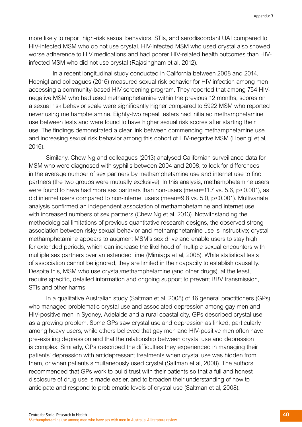more likely to report high-risk sexual behaviors, STIs, and serodiscordant UAI compared to HIV-infected MSM who do not use crystal. HIV-infected MSM who used crystal also showed worse adherence to HIV medications and had poorer HIV-related health outcomes than HIVinfected MSM who did not use crystal (Rajasingham et al, 2012).

 In a recent longitudinal study conducted in California between 2008 and 2014, Hoenigl and colleagues (2016) measured sexual risk behavior for HIV infection among men accessing a community-based HIV screening program. They reported that among 754 HIVnegative MSM who had used methamphetamine within the previous 12 months, scores on a sexual risk behavior scale were significantly higher compared to 5922 MSM who reported never using methamphetamine. Eighty-two repeat testers had initiated methamphetamine use between tests and were found to have higher sexual risk scores after starting their use. The findings demonstrated a clear link between commencing methamphetamine use and increasing sexual risk behavior among this cohort of HIV-negative MSM (Hoenigl et al, 2016).

Similarly, Chew Ng and colleagues (2013) analysed Californian surveillance data for MSM who were diagnosed with syphilis between 2004 and 2008, to look for differences in the average number of sex partners by methamphetamine use and internet use to find partners (the two groups were mutually exclusive). In this analysis, methamphetamine users were found to have had more sex partners than non-users (mean=11.7 vs. 5.6, p<0.001), as did internet users compared to non-internet users (mean=9.8 vs. 5.0, p<0.001). Multivariate analysis confirmed an independent association of methamphetamine and internet use with increased numbers of sex partners (Chew Ng et al, 2013). Notwithstanding the methodological limitations of previous quantitative research designs, the observed strong association between risky sexual behavior and methamphetamine use is instructive; crystal methamphetamine appears to augment MSM's sex drive and enable users to stay high for extended periods, which can increase the likelihood of multiple sexual encounters with multiple sex partners over an extended time (Mimiaga et al, 2008). While statistical tests of association cannot be ignored, they are limited in their capacity to establish causality. Despite this, MSM who use crystal/methamphetamine (and other drugs), at the least, require specific, detailed information and ongoing support to prevent BBV transmission, STIs and other harms.

In a qualitative Australian study (Saltman et al, 2008) of 16 general practitioners (GPs) who managed problematic crystal use and associated depression among gay men and HIV-positive men in Sydney, Adelaide and a rural coastal city, GPs described crystal use as a growing problem. Some GPs saw crystal use and depression as linked, particularly among heavy users, while others believed that gay men and HIV-positive men often have pre-existing depression and that the relationship between crystal use and depression is complex. Similarly, GPs described the difficulties they experienced in managing their patients' depression with antidepressant treatments when crystal use was hidden from them, or when patients simultaneously used crystal (Saltman et al, 2008). The authors recommended that GPs work to build trust with their patients so that a full and honest disclosure of drug use is made easier, and to broaden their understanding of how to anticipate and respond to problematic levels of crystal use (Saltman et al, 2008).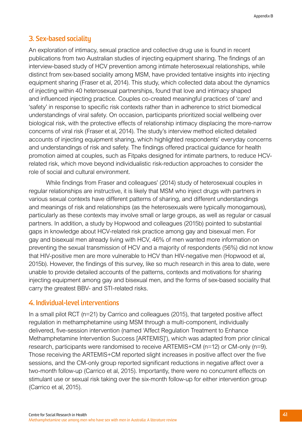## **3. Sex-based sociality**

An exploration of intimacy, sexual practice and collective drug use is found in recent publications from two Australian studies of injecting equipment sharing. The findings of an interview-based study of HCV prevention among intimate heterosexual relationships, while distinct from sex-based sociality among MSM, have provided tentative insights into injecting equipment sharing (Fraser et al, 2014). This study, which collected data about the dynamics of injecting within 40 heterosexual partnerships, found that love and intimacy shaped and influenced injecting practice. Couples co-created meaningful practices of 'care' and 'safety' in response to specific risk contexts rather than in adherence to strict biomedical understandings of viral safety. On occasion, participants prioritized social wellbeing over biological risk, with the protective effects of relationship intimacy displacing the more-narrow concerns of viral risk (Fraser et al, 2014). The study's interview method elicited detailed accounts of injecting equipment sharing, which highlighted respondents' everyday concerns and understandings of risk and safety. The findings offered practical guidance for health promotion aimed at couples, such as Fitpaks designed for intimate partners, to reduce HCVrelated risk, which move beyond individualistic risk-reduction approaches to consider the role of social and cultural environment.

While findings from Fraser and colleagues' (2014) study of heterosexual couples in regular relationships are instructive, it is likely that MSM who inject drugs with partners in various sexual contexts have different patterns of sharing, and different understandings and meanings of risk and relationships (as the heterosexuals were typically monogamous), particularly as these contexts may involve small or large groups, as well as regular or casual partners. In addition, a study by Hopwood and colleagues (2015b) pointed to substantial gaps in knowledge about HCV-related risk practice among gay and bisexual men. For gay and bisexual men already living with HCV, 46% of men wanted more information on preventing the sexual transmission of HCV and a majority of respondents (56%) did not know that HIV-positive men are more vulnerable to HCV than HIV-negative men (Hopwood et al, 2015b). However, the findings of this survey, like so much research in this area to date, were unable to provide detailed accounts of the patterns, contexts and motivations for sharing injecting equipment among gay and bisexual men, and the forms of sex-based sociality that carry the greatest BBV- and STI-related risks.

## **4. Individual-level interventions**

In a small pilot RCT (n=21) by Carrico and colleagues (2015), that targeted positive affect regulation in methamphetamine using MSM through a multi-component, individually delivered, five-session intervention (named 'Affect Regulation Treatment to Enhance Methamphetamine Intervention Success [ARTEMIS]'), which was adapted from prior clinical research, participants were randomised to receive ARTEMIS+CM (n=12) or CM-only (n=9). Those receiving the ARTEMIS+CM reported slight increases in positive affect over the five sessions, and the CM-only group reported significant reductions in negative affect over a two-month follow-up (Carrico et al, 2015). Importantly, there were no concurrent effects on stimulant use or sexual risk taking over the six-month follow-up for either intervention group (Carrico et al, 2015).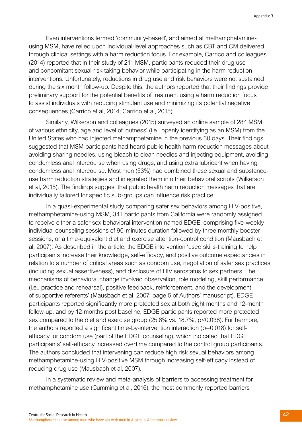Even interventions termed 'community-based', and aimed at methamphetamineusing MSM, have relied upon individual-level approaches such as CBT and CM delivered through clinical settings with a harm reduction focus. For example, Carrico and colleagues (2014) reported that in their study of 211 MSM, participants reduced their drug use and concomitant sexual risk-taking behavior while participating in the harm reduction interventions. Unfortunately, reductions in drug use and risk behaviors were not sustained during the six month follow-up. Despite this, the authors reported that their findings provide preliminary support for the potential benefits of treatment using a harm reduction focus to assist individuals with reducing stimulant use and minimizing its potential negative consequences (Carrico et al, 2014; Carrico et al, 2015).

Similarly, Wilkerson and colleagues (2015) surveyed an online sample of 284 MSM of various ethnicity, age and level of 'outness' (i.e., openly identifying as an MSM) from the United States who had injected methamphetamine in the previous 30 days. Their findings suggested that MSM participants had heard public health harm reduction messages about avoiding sharing needles, using bleach to clean needles and injecting equipment, avoiding condomless anal intercourse when using drugs, and using extra lubricant when having condomless anal intercourse. Most men (53%) had combined these sexual and substanceuse harm reduction strategies and integrated them into their behavioral scripts (Wilkerson et al, 2015). The findings suggest that public health harm reduction messages that are individually tailored for specific sub-groups can influence risk practice.

In a quasi-experimental study comparing safer sex behaviors among HIV-positive, methamphetamine-using MSM, 341 participants from California were randomly assigned to receive either a safer sex behavioral intervention named EDGE, comprising five-weekly individual counseling sessions of 90-minutes duration followed by three monthly booster sessions, or a time-equivalent diet and exercise attention-control condition (Mausbach et al, 2007). As described in the article, the EDGE intervention 'used skills-training to help participants increase their knowledge, self-efficacy, and positive outcome expectancies in relation to a number of critical areas such as condom use, negotiation of safer sex practices (including sexual assertiveness), and disclosure of HIV serostatus to sex partners. The mechanisms of behavioral change involved observation, role modeling, skill performance (i.e., practice and rehearsal), positive feedback, reinforcement, and the development of supportive referents' (Mausbach et al, 2007: page 5 of Authors' manuscript). EDGE participants reported significantly more protected sex at both eight months and 12-month follow-up, and by 12-months post baseline, EDGE participants reported more protected sex compared to the diet and exercise group (25.8% vs. 18.7%, p<0.038). Furthermore, the authors reported a significant time-by-intervention interaction (p=0.018) for selfefficacy for condom use (part of the EDGE counseling), which indicated that EDGE participants' self-efficacy increased overtime compared to the control group participants. The authors concluded that intervening can reduce high risk sexual behaviors among methamphetamine-using HIV-positive MSM through increasing self-efficacy instead of reducing drug use (Mausbach et al, 2007).

In a systematic review and meta-analysis of barriers to accessing treatment for methamphetamine use (Cumming et al, 2016), the most commonly reported barriers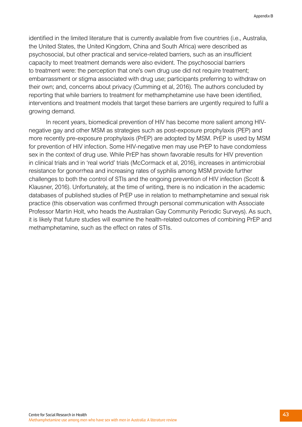identified in the limited literature that is currently available from five countries (i.e., Australia, the United States, the United Kingdom, China and South Africa) were described as psychosocial, but other practical and service-related barriers, such as an insufficient capacity to meet treatment demands were also evident. The psychosocial barriers to treatment were: the perception that one's own drug use did not require treatment; embarrassment or stigma associated with drug use; participants preferring to withdraw on their own; and, concerns about privacy (Cumming et al, 2016). The authors concluded by reporting that while barriers to treatment for methamphetamine use have been identified, interventions and treatment models that target these barriers are urgently required to fulfil a growing demand.

In recent years, biomedical prevention of HIV has become more salient among HIVnegative gay and other MSM as strategies such as post-exposure prophylaxis (PEP) and more recently pre-exposure prophylaxis (PrEP) are adopted by MSM. PrEP is used by MSM for prevention of HIV infection. Some HIV-negative men may use PrEP to have condomless sex in the context of drug use. While PrEP has shown favorable results for HIV prevention in clinical trials and in 'real world' trials (McCormack et al, 2016), increases in antimicrobial resistance for gonorrhea and increasing rates of syphilis among MSM provide further challenges to both the control of STIs and the ongoing prevention of HIV infection (Scott & Klausner, 2016). Unfortunately, at the time of writing, there is no indication in the academic databases of published studies of PrEP use in relation to methamphetamine and sexual risk practice (this observation was confirmed through personal communication with Associate Professor Martin Holt, who heads the Australian Gay Community Periodic Surveys). As such, it is likely that future studies will examine the health-related outcomes of combining PrEP and methamphetamine, such as the effect on rates of STIs.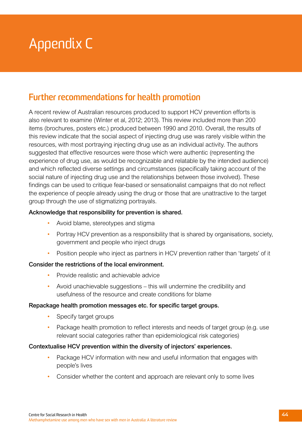# Appendix C

# **Further recommendations for health promotion**

A recent review of Australian resources produced to support HCV prevention efforts is also relevant to examine (Winter et al, 2012; 2013). This review included more than 200 items (brochures, posters etc.) produced between 1990 and 2010. Overall, the results of this review indicate that the social aspect of injecting drug use was rarely visible within the resources, with most portraying injecting drug use as an individual activity. The authors suggested that effective resources were those which were authentic (representing the experience of drug use, as would be recognizable and relatable by the intended audience) and which reflected diverse settings and circumstances (specifically taking account of the social nature of injecting drug use and the relationships between those involved). These findings can be used to critique fear-based or sensationalist campaigns that do not reflect the experience of people already using the drug or those that are unattractive to the target group through the use of stigmatizing portrayals.

### Acknowledge that responsibility for prevention is shared.

- Avoid blame, stereotypes and stigma
- Portray HCV prevention as a responsibility that is shared by organisations, society, government and people who inject drugs
- Position people who inject as partners in HCV prevention rather than 'targets' of it

#### Consider the restrictions of the local environment.

- Provide realistic and achievable advice
- Avoid unachievable suggestions this will undermine the credibility and usefulness of the resource and create conditions for blame

#### Repackage health promotion messages etc. for specific target groups.

- Specify target groups
- Package health promotion to reflect interests and needs of target group (e.g. use relevant social categories rather than epidemiological risk categories)

#### Contextualise HCV prevention within the diversity of injectors' experiences.

- Package HCV information with new and useful information that engages with people's lives
- Consider whether the content and approach are relevant only to some lives